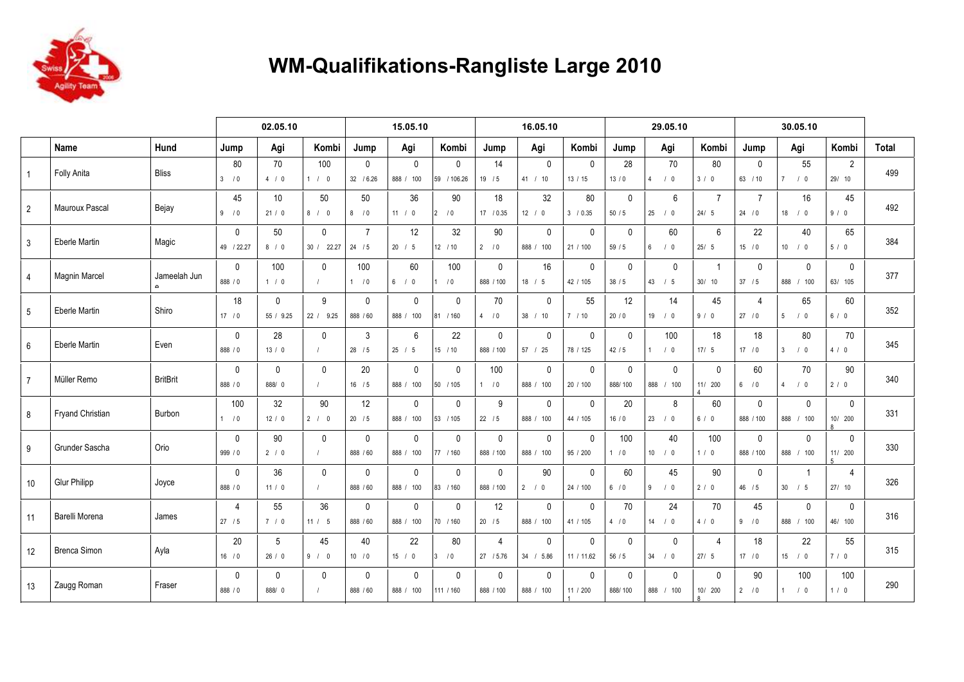

## **WM-Qualifikations-Rangliste Large 2010**

|                |                         |                        |                           | 02.05.10               |                                  |                           | 15.05.10                  |                             |                             | 16.05.10                    |                          |                         | 29.05.10                    |                         |                           | 30.05.10                   |                              |              |
|----------------|-------------------------|------------------------|---------------------------|------------------------|----------------------------------|---------------------------|---------------------------|-----------------------------|-----------------------------|-----------------------------|--------------------------|-------------------------|-----------------------------|-------------------------|---------------------------|----------------------------|------------------------------|--------------|
|                | Name                    | Hund                   | Jump                      | Agi                    | Kombi                            | Jump                      | Agi                       | Kombi                       | Jump                        | Agi                         | Kombi                    | Jump                    | Agi                         | Kombi                   | Jump                      | Agi                        | Kombi                        | <b>Total</b> |
| $\mathbf{1}$   | Folly Anita             | <b>Bliss</b>           | 80<br>3/0                 | 70<br>4/0              | 100<br>1 / 0                     | $\mathbf{0}$<br>32 / 6.26 | $\mathbf 0$<br>888 / 100  | $\mathbf{0}$<br>59 / 106.26 | 14<br>19/5                  | $\mathbf 0$<br>41 / 10      | $\mathbf{0}$<br>13/15    | 28<br>$13/0$            | 70<br>/0<br>$\overline{4}$  | 80<br>3/0               | $\Omega$<br>63 / 10       | 55<br>7/0                  | 2<br>29/10                   | 499          |
| $\overline{2}$ | <b>Mauroux Pascal</b>   | Bejay                  | 45<br>9/0                 | 10<br>21/0             | 50<br>8/0                        | 50<br>8/0                 | 36<br>11 / 0              | 90<br>$2 \t10$              | 18<br>17 / 0.35             | 32<br>12 / 0                | 80<br>3 / 0.35           | $\mathbf{0}$<br>50/5    | 6<br>25<br>/0               | $\overline{7}$<br>24/5  | $\overline{7}$<br>24 / 0  | 16<br>$18$ / 0             | 45<br>9/0                    | 492          |
| 3              | Eberle Martin           | Magic                  | $\mathbf 0$<br>49 / 22.27 | 50<br>8/0              | $\mathbf{0}$<br>30 / 22.27       | $\overline{7}$<br>24 / 5  | 12<br>20 / 5              | 32<br>12 / 10               | 90<br>2/0                   | $\mathbf 0$<br>888 / 100    | $\mathbf{0}$<br>21 / 100 | $\mathbf{0}$<br>59/5    | 60<br>$6\overline{6}$<br>/0 | 6<br>25/5               | 22<br>15/0                | 40<br>10 / 0               | 65<br>5/0                    | 384          |
| $\overline{4}$ | <b>Magnin Marcel</b>    | Jameelah Jun<br>$\sim$ | $\mathbf 0$<br>888 / 0    | 100<br>1/0             | $\mathbf{0}$<br>$\left  \right $ | 100<br>1/0                | 60<br>6/0                 | 100<br>/0                   | $\mathbf 0$<br>888 / 100    | 16<br>18 / 5                | $\mathbf{0}$<br>42 / 105 | $\mathbf 0$<br>38/5     | $\mathbf 0$<br>43 / 5       | $\overline{1}$<br>30/10 | $\mathbf{0}$<br>37 / 5    | $\mathbf 0$<br>888 / 100   | $\mathbf 0$<br>63/ 105       | 377          |
| 5              | Eberle Martin           | Shiro                  | 18<br>17/0                | $\Omega$<br>55 / 9.25  | 9<br>22 / 9.25                   | $\mathbf{0}$<br>888 / 60  | $\mathbf 0$<br>888 / 100  | $\mathbf{0}$<br>81 / 160    | 70<br>4/0                   | $\mathbf 0$<br>38 / 10      | 55<br>7/10               | 12<br>20/0              | 14<br>$19$ / 0              | 45<br>9/0               | $\Delta$<br>27/0          | 65<br>5/0                  | 60<br>6/0                    | 352          |
| 6              | Eberle Martin           | Even                   | 0<br>888 / 0              | 28<br>13/0             | $\mathbf{0}$<br>$\prime$         | 3<br>$28$ / 5             | 6<br>25 / 5               | 22<br>15 / 10               | $\mathbf 0$<br>888 / 100    | $\mathbf 0$<br>57 / 25      | $\mathbf{0}$<br>78 / 125 | $\mathbf 0$<br>42/5     | 100<br>/0<br>$\mathbf{1}$   | 18<br>$17/5$            | 18<br>17 / 0              | 80<br>3 <sup>1</sup><br>/0 | 70<br>4/0                    | 345          |
| $\overline{7}$ | Müller Remo             | <b>BritBrit</b>        | $\mathbf 0$<br>888 / 0    | $\Omega$<br>888/0      | $\mathbf{0}$<br>$\prime$         | 20<br>$16$ / 5            | $\mathbf 0$<br>888 / 100  | $\mathbf{0}$<br>50 / 105    | 100<br>1/0                  | $\mathbf{0}$<br>888 / 100   | $\mathbf{0}$<br>20 / 100 | $\mathbf{0}$<br>888/100 | $\Omega$<br>888 / 100       | $\mathbf{0}$<br>11/ 200 | 60<br>6/0                 | 70<br>/0<br>4              | 90<br>2/0                    | 340          |
| 8              | <b>Fryand Christian</b> | Burbon                 | 100<br>1/0                | 32<br>12 / 0           | 90<br>2 / 0                      | 12<br>20/5                | $\mathbf 0$<br>888 / 100  | $\mathbf 0$<br>53 / 105     | 9<br>22/5                   | $\mathbf 0$<br>888 /<br>100 | $\mathbf{0}$<br>44 / 105 | 20<br>16/0              | 8<br>23 / 0                 | 60<br>6/0               | $\mathbf{0}$<br>888 / 100 | $\mathbf 0$<br>888 / 100   | $\mathbf 0$<br>10/ 200<br>R  | 331          |
| 9              | Grunder Sascha          | Orio                   | $\mathbf 0$<br>999 / 0    | 90<br>2/0              | $\mathbf{0}$<br>$\sqrt{ }$       | $\mathbf{0}$<br>888 / 60  | $\mathbf{0}$<br>888 / 100 | $\mathbf{0}$<br>77 / 160    | $\mathbf{0}$<br>888 / 100   | $\mathbf{0}$<br>888 / 100   | $\Omega$<br>95 / 200     | 100<br>1/0              | 40<br>$10$ / 0              | 100<br>1/0              | $\mathbf{0}$<br>888 / 100 | $\mathbf{0}$<br>888 / 100  | $\mathbf{0}$<br>11/ 200<br>5 | 330          |
| 10             | <b>Glur Philipp</b>     | Joyce                  | $\mathbf 0$<br>888 / 0    | 36<br>11 / 0           | $\mathbf{0}$<br>$\prime$         | $\mathbf{0}$<br>888 / 60  | $\mathbf 0$<br>888 / 100  | $\mathbf 0$<br>83 / 160     | $\mathbf 0$<br>888 / 100    | 90<br>2 / 0                 | $\mathbf{0}$<br>24 / 100 | 60<br>6/0               | 45<br>9<br>/0               | 90<br>2/0               | $\mathbf{0}$<br>46/5      | -1<br>30 / 5               | $\overline{4}$<br>27/10      | 326          |
| 11             | Barelli Morena          | James                  | $\overline{4}$<br>27/5    | 55<br>7/0              | 36<br>11 / 5                     | $\mathbf 0$<br>888 / 60   | $\mathbf 0$<br>888 / 100  | $\mathbf 0$<br>70 / 160     | 12<br>20/5                  | $\mathbf 0$<br>888 / 100    | $\mathbf{0}$<br>41 / 105 | 70<br>4/0               | 24<br>$14$ / 0              | 70<br>4/0               | 45<br>9/0                 | $\mathbf 0$<br>888 / 100   | $\mathbf 0$<br>46/ 100       | 316          |
| 12             | <b>Brenca Simon</b>     | Ayla                   | 20<br>16/0                | 5<br>26/0              | 45<br>9/0                        | 40<br>10 / 0              | 22<br>15 / 0              | 80<br>10<br><sup>3</sup>    | $\overline{4}$<br>27 / 5.76 | $\mathbf{0}$<br>34 / 5.86   | $\Omega$<br>11 / 11.62   | $\mathbf{0}$<br>$56/5$  | $\mathbf{0}$<br>34 / 0      | $\overline{4}$<br>27/5  | 18<br>17/0                | 22<br>15 / 0               | 55<br>7/0                    | 315          |
| 13             | Zaugg Roman             | Fraser                 | $\mathbf 0$<br>888 / 0    | $\mathbf{0}$<br>888/ 0 | $\mathbf{0}$<br>$\prime$         | $\mathbf 0$<br>888 / 60   | $\mathbf 0$<br>888 / 100  | $\mathbf 0$<br>111 / 160    | $\mathbf 0$<br>888 / 100    | $\mathbf 0$<br>888 / 100    | $\Omega$<br>11 / 200     | $\mathbf 0$<br>888/100  | $\mathbf{0}$<br>888 / 100   | $\mathbf 0$<br>10/ 200  | 90<br>2/0                 | 100<br>1/0                 | 100<br>1/0                   | 290          |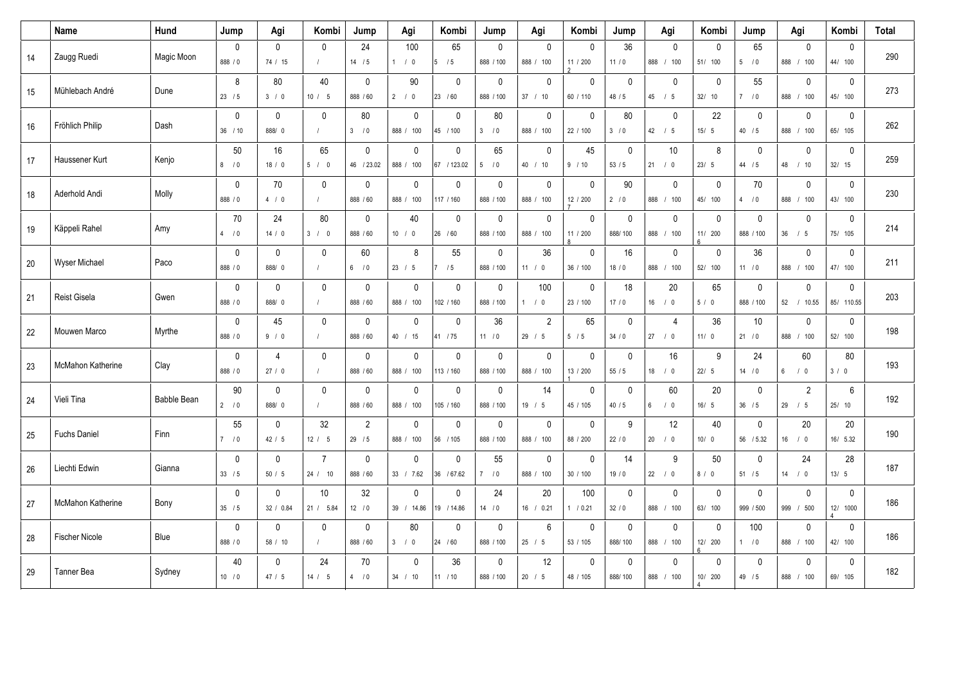|        | Name                  | Hund               | Jump                   | Agi                       | Kombi                         | Jump                      | Agi                          | Kombi                      | Jump                       | Agi                       | Kombi                    | Jump                    | Agi                         | Kombi                     | Jump                      | Agi                         | Kombi                                      | <b>Total</b> |
|--------|-----------------------|--------------------|------------------------|---------------------------|-------------------------------|---------------------------|------------------------------|----------------------------|----------------------------|---------------------------|--------------------------|-------------------------|-----------------------------|---------------------------|---------------------------|-----------------------------|--------------------------------------------|--------------|
| 14     | Zaugg Ruedi           | Magic Moon         | $\pmb{0}$<br>888 / 0   | $\mathbf 0$<br>74 / 15    | $\mathbf 0$                   | 24<br>14 / 5              | 100<br>1 / 0                 | 65<br>5/5                  | $\mathbf 0$<br>888 / 100   | 0<br>888 / 100            | $\Omega$<br>11 / 200     | 36<br>11/0              | $\Omega$<br>888 / 100       | $\mathbf 0$<br>51/ 100    | 65<br>5/0                 | 0<br>888 / 100              | $\mathbf 0$<br>44/ 100                     | 290          |
| 15     | Mühlebach André       | Dune               | 8<br>23 / 5            | 80<br>3/0                 | 40<br>10 / 5                  | $\mathbf 0$<br>888 / 60   | 90<br>$2 \t/0$               | $\mathbf{0}$<br>23 / 60    | $\mathbf 0$<br>888 / 100   | 0<br>37 / 10              | $\mathbf{0}$<br>60 / 110 | $\mathbf{0}$<br>48 / 5  | $\mathbf 0$<br>$45$ / $5$   | $\mathbf 0$<br>32/10      | 55<br>7/0                 | 0<br>888 / 100              | $\mathbf{0}$<br>45/ 100                    | 273          |
| 16     | Fröhlich Philip       | Dash               | $\pmb{0}$<br>$36$ / 10 | $\mathbf 0$<br>888/ 0     | $\mathbf 0$<br>$\prime$       | 80<br>3/0                 | $\mathbf 0$<br>888 /<br>100  | $\mathbf 0$<br>45 / 100    | 80<br>3/0                  | 0<br>888 / 100            | $\mathbf 0$<br>22 / 100  | 80<br>3/0               | $\mathbf 0$<br>$42$ / 5     | 22<br>15/5                | $\mathbf 0$<br>40 / 5     | 0<br>888 /<br>100           | $\pmb{0}$<br>65/ 105                       | 262          |
| 17     | Haussener Kurt        | Kenjo              | 50<br>8/0              | 16<br>18/0                | 65<br>5/0                     | $\mathbf 0$<br>46 / 23.02 | $\mathbf 0$<br>888 / 100     | $\mathbf 0$<br>67 / 123.02 | 65<br>5 <sup>5</sup><br>/0 | 0<br>40 / 10              | 45<br>9 / 10             | $\mathbf 0$<br>53/5     | 10<br>21 / 0                | 8<br>23/5                 | $\pmb{0}$<br>44 / 5       | 0<br>48 / 10                | $\mathbf 0$<br>32/15                       | 259          |
| 18     | Aderhold Andi         | Molly              | $\mathbf 0$<br>888 / 0 | 70<br>4/0                 | $\mathbf 0$<br>$\overline{1}$ | $\mathbf 0$<br>888 / 60   | $\mathbf{0}$<br>888 / 100    | $\mathbf{0}$<br>117 / 160  | $\mathbf 0$<br>888 / 100   | $\mathbf{0}$<br>888 / 100 | $\mathbf{0}$<br>12 / 200 | 90<br>2/0               | $\mathbf{0}$<br>888 / 100   | $\mathbf 0$<br>45/ 100    | 70<br>4/0                 | 0<br>888 / 100              | $\mathbf{0}$<br>43/ 100                    | 230          |
| 19     | Käppeli Rahel         | Amy                | 70<br>4/0              | 24<br>14/0                | 80<br>3 / 0                   | $\mathbf 0$<br>888 / 60   | 40<br>10 / 0                 | $\Omega$<br>26 / 60        | $\pmb{0}$<br>888 / 100     | $\mathbf 0$<br>888 / 100  | $\mathbf{0}$<br>11 / 200 | $\mathbf 0$<br>888/100  | $\mathbf 0$<br>888 / 100    | $\pmb{0}$<br>11/ 200<br>ĥ | $\mathbf 0$<br>888 / 100  | 0<br>$36 \quad / \quad 5$   | $\mathbf 0$<br>75/ 105                     | 214          |
| $20\,$ | <b>Wyser Michael</b>  | Paco               | $\pmb{0}$<br>888 / 0   | 0<br>888/0                | $\mathbf 0$<br>$\sqrt{ }$     | 60<br>6/0                 | 8<br>23 / 5                  | 55<br>/5                   | $\pmb{0}$<br>888 / 100     | 36<br>11 / 0              | $\mathbf{0}$<br>36 / 100 | 16<br>18/0              | $\mathbf{0}$<br>888 / 100   | $\mathbf 0$<br>52/ 100    | 36<br>11 / 0              | 0<br>888 /<br>100           | $\pmb{0}$<br>47/ 100                       | 211          |
| 21     | Reist Gisela          | Gwen               | $\mathbf 0$<br>888 / 0 | $\mathbf{0}$<br>888/ 0    | $\mathbf{0}$                  | $\mathbf 0$<br>888 / 60   | $\mathbf{0}$<br>888 / 100    | $\mathbf{0}$<br>102 / 160  | $\mathbf 0$<br>888 / 100   | 100<br>1/0                | $\mathbf{0}$<br>23 / 100 | 18<br>$17/0$            | 20<br>$16$ / 0              | 65<br>5/0                 | $\mathbf 0$<br>888 / 100  | 0<br>52 / 10.55             | $\mathbf{0}$<br>85/ 110.55                 | 203          |
| 22     | Mouwen Marco          | Myrthe             | $\pmb{0}$<br>888 / 0   | 45<br>9/0                 | $\mathbf 0$                   | $\mathbf 0$<br>888 / 60   | $\mathbf{0}$<br>40 / 15      | $\mathbf 0$<br>41 / 75     | 36<br>11 / 0               | $\overline{2}$<br>29 / 5  | 65<br>5/5                | $\mathbf 0$<br>34/0     | $\overline{4}$<br>27 / 0    | 36<br>11/0                | 10<br>21/0                | 0<br>888 /<br>100           | $\mathbf 0$<br>52/ 100                     | 198          |
| 23     | McMahon Katherine     | Clay               | $\mathbf 0$<br>888 / 0 | $\overline{4}$<br>27/0    | $\mathbf{0}$<br>$\sqrt{ }$    | $\mathbf{0}$<br>888 / 60  | $\mathbf{0}$<br>888 / 100    | $\mathbf{0}$<br>113 / 160  | $\mathbf{0}$<br>888 / 100  | 0<br>888 / 100            | $\mathbf{0}$<br>13 / 200 | $\mathbf{0}$<br>55/5    | 16<br>$18 \qquad / \quad 0$ | 9<br>22/5                 | 24<br>14 / 0              | 60<br>$6 \qquad / \quad 0$  | 80<br>3/0                                  | 193          |
| 24     | Vieli Tina            | <b>Babble Bean</b> | 90<br>2/0              | $\mathbf 0$<br>888/0      | $\mathbf{0}$                  | $\mathbf 0$<br>888 / 60   | $\mathbf{0}$<br>888 /<br>100 | $\mathbf{0}$<br>105 / 160  | $\mathbf 0$<br>888 / 100   | 14<br>19 / 5              | $\mathbf{0}$<br>45 / 105 | $\mathbf 0$<br>40/5     | 60<br>6<br>/0               | 20<br>16/5                | $\mathbf 0$<br>$36$ / 5   | $\overline{2}$<br>$29$ / 5  | $6\phantom{1}$<br>25/10                    | 192          |
| 25     | <b>Fuchs Daniel</b>   | Finn               | 55<br>7/0              | $\mathbf{0}$<br>42 / 5    | 32<br>12 / 5                  | $\overline{2}$<br>29/5    | $\mathbf{0}$<br>888 / 100    | $\mathbf{0}$<br>56 / 105   | $\mathbf 0$<br>888 / 100   | $\mathbf 0$<br>888 / 100  | $\mathbf{0}$<br>88 / 200 | 9<br>22/0               | 12<br>20 / 0                | 40<br>10/0                | $\mathbf 0$<br>56 / 5.32  | 20<br>$16$ / 0              | 20<br>16/ 5.32                             | 190          |
| 26     | Liechti Edwin         | Gianna             | $\mathbf 0$<br>33 / 5  | $\mathbf{0}$<br>50/5      | $\overline{7}$<br>24 / 10     | $\mathbf{0}$<br>888 / 60  | $\mathbf{0}$<br>33 / 7.62    | $\mathbf{0}$<br>36 / 67.62 | 55<br>7/0                  | 0<br>888 / 100            | $\mathbf{0}$<br>30 / 100 | 14<br>19/0              | 9<br>22 / 0                 | 50<br>8/0                 | $\mathbf{0}$<br>51/5      | 24<br>$14$ / 0              | 28<br>13/5                                 | 187          |
| $27\,$ | McMahon Katherine     | Bony               | $\mathbf 0$<br>35 / 5  | $\mathbf{0}$<br>32 / 0.84 | 10<br>21 / 5.84               | 32<br>12 / 0              | $\mathbf{0}$<br>39 / 14.86   | $\mathbf{0}$<br>19 / 14.86 | 24<br>14 / 0               | 20<br>16 / 0.21           | 100<br>1 / 0.21          | $\mathbf 0$<br>32/0     | $\mathbf 0$<br>888 / 100    | $\mathbf 0$<br>63/ 100    | $\mathbf{0}$<br>999 / 500 | 0<br>999 / 500              | $\mathbf{0}$<br>12/ 1000<br>$\overline{4}$ | 186          |
| 28     | <b>Fischer Nicole</b> | Blue               | $\pmb{0}$<br>888 / 0   | $\mathbf 0$<br>58 / 10    | $\mathbf 0$                   | $\mathbf 0$<br>888 / 60   | 80<br>3 /<br>$\overline{0}$  | $\mathbf 0$<br>24 / 60     | $\mathbf 0$<br>888 / 100   | 6<br>25 / 5               | $\mathbf 0$<br>53 / 105  | $\mathbf 0$<br>888/100  | $\mathbf 0$<br>888 / 100    | $\mathbf 0$<br>12/ 200    | 100<br>1/0                | 0<br>888 / 100              | $\mathbf 0$<br>42/ 100                     | 186          |
| 29     | <b>Tanner Bea</b>     | Sydney             | 40<br>10/0             | $\mathbf{0}$<br>47 / 5    | 24<br>14 / 5                  | 70<br>4/0                 | $\Omega$<br>34 / 10          | 36<br>11 / 10              | $\mathbf{0}$<br>888 / 100  | 12<br>20 / 5              | $\Omega$<br>48 / 105     | $\mathbf{0}$<br>888/100 | $\Omega$<br>888 / 100       | $\mathbf 0$<br>10/ 200    | $\Omega$<br>49 / 5        | $\mathbf{0}$<br>888<br>/100 | $\mathbf{0}$<br>69/ 105                    | 182          |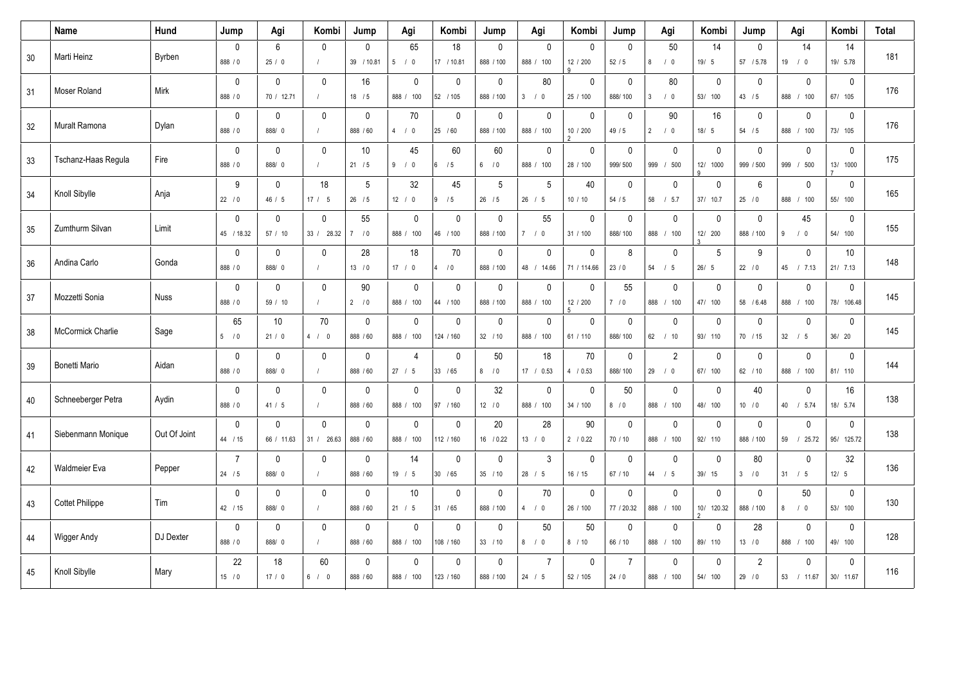|    | Name                     | Hund         | Jump                       | Agi                        | Kombi                      | Jump                      | Agi                          | Kombi                      | Jump                     | Agi                            | Kombi                        | Jump                      | Agi                                | Kombi                     | Jump                      | Agi                                  | Kombi                      | <b>Total</b> |
|----|--------------------------|--------------|----------------------------|----------------------------|----------------------------|---------------------------|------------------------------|----------------------------|--------------------------|--------------------------------|------------------------------|---------------------------|------------------------------------|---------------------------|---------------------------|--------------------------------------|----------------------------|--------------|
| 30 | Marti Heinz              | Byrben       | $\mathbf 0$<br>888 / 0     | 6<br>25/0                  | $\mathbf 0$<br>$\prime$    | $\mathbf 0$<br>39 / 10.81 | 65<br>5 <sup>5</sup><br>/0   | 18<br>17 / 10.81           | $\mathbf 0$<br>888 / 100 | 0<br>888 / 100                 | $\mathbf{0}$<br>12 / 200     | $\mathbf 0$<br>52/5       | 50<br>8<br>/0                      | 14<br>19/5                | $\mathbf{0}$<br>57 / 5.78 | 14<br>$19$ / 0                       | 14<br>19/ 5.78             | 181          |
| 31 | Moser Roland             | Mirk         | $\mathbf{0}$<br>888 / 0    | $\mathbf{0}$<br>70 / 12.71 | $\mathbf{0}$               | 16<br>$18$ / 5            | $\mathbf{0}$<br>888 / 100    | $\mathbf{0}$<br>52 / 105   | $\mathbf 0$<br>888 / 100 | 80<br>3 / 0                    | $\mathbf{0}$<br>25 / 100     | $\mathbf{0}$<br>888/100   | 80<br>$\mathbf{3}$<br>/0           | $\mathbf 0$<br>53/ 100    | $\Omega$<br>43 / 5        | $\mathbf 0$<br>888 / 100             | $\mathbf 0$<br>67/ 105     | 176          |
| 32 | Muralt Ramona            | Dylan        | $\mathbf 0$<br>888 / 0     | $\mathbf 0$<br>888/0       | $\mathbf 0$<br>$\sqrt{ }$  | $\mathbf 0$<br>888 / 60   | 70<br>4/0                    | $\mathbf{0}$<br>25 / 60    | $\mathbf 0$<br>888 / 100 | $\mathbf 0$<br>888 / 100       | $\mathbf 0$<br>10 / 200      | $\mathbf 0$<br>49 / 5     | 90<br>$\overline{2}$<br>$\sqrt{0}$ | 16<br>18/5                | $\mathbf{0}$<br>54 / 5    | $\mathbf 0$<br>888 / 100             | $\pmb{0}$<br>73/ 105       | 176          |
| 33 | Tschanz-Haas Regula      | Fire         | $\mathbf 0$<br>888 / 0     | $\mathbf{0}$<br>888/ 0     | $\mathbf{0}$               | $10$<br>21/5              | 45<br>9<br>$\sqrt{0}$        | 60<br>/5<br>6              | 60<br>6/0                | $\mathsf{O}$<br>888 / 100      | $\mathbf 0$<br>28 / 100      | $\mathbf 0$<br>999/500    | $\mathbf 0$<br>999 / 500           | $\mathbf 0$<br>12/ 1000   | $\mathbf 0$<br>999 / 500  | $\mathbf 0$<br>999<br>/500           | $\mathbf 0$<br>13/ 1000    | 175          |
| 34 | Knoll Sibylle            | Anja         | 9<br>22 / 0                | $\mathbf{0}$<br>46 / 5     | 18<br>17 / 5               | 5<br>$26$ / 5             | 32<br>12 / 0                 | 45<br>/5<br>19             | 5<br>$26$ / 5            | 5<br>26 / 5                    | 40<br>10/10                  | $\mathbf{0}$<br>54 / 5    | $\mathbf{0}$<br>58 / 5.7           | $\mathbf 0$<br>37/ 10.7   | 6<br>25/0                 | $\mathbf 0$<br>888 / 100             | $\mathbf 0$<br>55/ 100     | 165          |
| 35 | Zumthurm Silvan          | Limit        | $\mathbf{0}$<br>45 / 18.32 | $\mathbf{0}$<br>57 / 10    | $\mathbf{0}$<br>33 / 28.32 | 55<br>10<br>$7^{\circ}$   | $\mathbf 0$<br>888 / 100     | $\Omega$<br>46 / 100       | $\mathbf 0$<br>888 / 100 | 55<br>7/0                      | $\mathbf{0}$<br>31 / 100     | $\mathbf 0$<br>888/100    | $\mathbf 0$<br>888 / 100           | $\mathbf 0$<br>12/ 200    | $\mathbf{0}$<br>888 / 100 | 45<br>9/0                            | $\mathbf 0$<br>54/ 100     | 155          |
| 36 | Andina Carlo             | Gonda        | $\pmb{0}$<br>888 / 0       | $\mathbf 0$<br>888/0       | $\mathbf 0$<br>$\sqrt{ }$  | 28<br>13 / 0              | 18<br>17/<br>$\overline{0}$  | 70<br>10<br>$\overline{4}$ | $\pmb{0}$<br>888 / 100   | $\mathbf 0$<br>$48$ /<br>14.66 | $\mathbf 0$<br>71 / 114.66   | 8<br>23/0                 | $\mathbf 0$<br>$54$ / $5$          | $5\phantom{.0}$<br>26/5   | 9<br>22 / 0               | $\mathbf 0$<br>45 / 7.13             | 10<br>21/ 7.13             | 148          |
| 37 | Mozzetti Sonia           | <b>Nuss</b>  | $\mathbf 0$<br>888 / 0     | $\mathbf 0$<br>59 / 10     | $\Omega$                   | 90<br>2/0                 | $\mathbf 0$<br>888 / 100     | $\Omega$<br>44 / 100       | $\mathbf 0$<br>888 / 100 | 0<br>888 / 100                 | $\mathbf 0$<br>12 / 200<br>5 | 55<br>7/0                 | $\mathbf 0$<br>888 / 100           | $\mathbf 0$<br>47/ 100    | $\mathbf 0$<br>58 / 6.48  | $\mathbf 0$<br>888 / 100             | $\mathbf 0$<br>78/ 106.48  | 145          |
| 38 | <b>McCormick Charlie</b> | Sage         | 65<br>5/0                  | 10<br>21/0                 | 70<br>4 / 0                | $\mathbf 0$<br>888 / 60   | $\mathbf{0}$<br>888 / 100    | $\Omega$<br>124 / 160      | $\mathbf 0$<br>32 / 10   | $\mathbf 0$<br>888 / 100       | $\mathbf{0}$<br>61 / 110     | $\mathbf 0$<br>888/100    | $\mathbf{0}$<br>62 / 10            | $\mathbf 0$<br>93/ 110    | $\mathbf{0}$<br>70 / 15   | $\mathbf{0}$<br>$32 \quad / \quad 5$ | $\mathbf 0$<br>36/ 20      | 145          |
| 39 | Bonetti Mario            | Aidan        | $\mathbf 0$<br>888 / 0     | $\mathbf 0$<br>888/0       | $\mathbf 0$<br>$\prime$    | $\mathbf 0$<br>888 / 60   | $\overline{4}$<br>27 / 5     | $\Omega$<br>33 / 65        | 50<br>8/0                | 18<br>17 / 0.53                | 70<br>4 / 0.53               | $\mathbf 0$<br>888/100    | $\overline{2}$<br>29<br>$\sqrt{0}$ | $\mathbf 0$<br>67/ 100    | $\Omega$<br>62 / 10       | $\mathbf 0$<br>888 / 100             | $\mathbf 0$<br>81/ 110     | 144          |
| 40 | Schneeberger Petra       | Aydin        | $\pmb{0}$<br>888 / 0       | $\mathbf 0$<br>41/5        | $\mathbf 0$                | $\mathbf 0$<br>888 / 60   | $\mathbf 0$<br>888 /<br>100  | $\Omega$<br>97 / 160       | 32<br>$12 \quad 10$      | 0<br>888 / 100                 | $\mathbf 0$<br>34 / 100      | 50<br>8/0                 | $\mathbf 0$<br>888 /<br>100        | $\mathbf 0$<br>48/ 100    | 40<br>10 / 0              | $\mathbf 0$<br>40 / 5.74             | 16<br>18/ 5.74             | 138          |
| 41 | Siebenmann Monique       | Out Of Joint | $\mathbf{0}$<br>44 / 15    | $\mathbf{0}$<br>66 / 11.63 | $\mathbf{0}$<br>31 / 26.63 | $\mathbf{0}$<br>888 / 60  | $\mathbf{0}$<br>888 / 100    | $\Omega$<br>112 / 160      | 20<br>16 / 0.22          | 28<br>13 / 0                   | 90<br>2 / 0.22               | $\mathbf{0}$<br>70 / 10   | $\mathbf{0}$<br>888 / 100          | $\mathbf 0$<br>92/ 110    | $\mathbf{0}$<br>888 / 100 | $\mathbf{0}$<br>59 / 25.72           | $\mathbf{0}$<br>95/ 125.72 | 138          |
| 42 | <b>Waldmeier Eva</b>     | Pepper       | $\overline{7}$<br>24/5     | $\mathbf 0$<br>888/0       | $\mathbf 0$<br>$\prime$    | $\mathbf 0$<br>888 / 60   | 14<br>19 / 5                 | $\Omega$<br>30 / 65        | $\mathbf 0$<br>35 / 10   | 3<br>28 / 5                    | $\Omega$<br>16/15            | $\mathbf 0$<br>67 / 10    | $\mathbf{0}$<br>44 / 5             | $\mathbf 0$<br>39/ 15     | 80<br>3/0                 | $\mathbf 0$<br>$31 \quad / \quad 5$  | 32<br>12/5                 | 136          |
| 43 | Cottet Philippe          | Tim          | $\mathbf 0$<br>42 / 15     | $\mathbf 0$<br>888/ 0      | $\mathbf 0$<br>$\prime$    | $\mathbf 0$<br>888 / 60   | 10<br>21 / 5                 | $\Omega$<br>31 / 65        | $\mathbf 0$<br>888 / 100 | 70<br>4/0                      | $\mathbf{0}$<br>26 / 100     | $\mathbf 0$<br>77 / 20.32 | $\mathbf 0$<br>888 / 100           | $\mathbf 0$<br>10/ 120.32 | $\mathbf 0$<br>888 / 100  | 50<br>$8$ / 0                        | $\mathbf 0$<br>53/ 100     | 130          |
| 44 | Wigger Andy              | DJ Dexter    | $\pmb{0}$<br>888 / 0       | $\mathbf{0}$<br>888/ 0     | $\mathbf{0}$               | $\mathbf 0$<br>888 / 60   | $\mathbf{0}$<br>888 /<br>100 | $\mathbf{0}$<br>108 / 160  | $\mathbf{0}$<br>33 / 10  | 50<br>8/0                      | 50<br>8 / 10                 | $\mathbf{0}$<br>66 / 10   | $\mathbf{0}$<br>888 / 100          | $\mathbf{0}$<br>89/ 110   | 28<br>13 / 0              | $\mathbf{0}$<br>888 / 100            | $\mathbf 0$<br>49/ 100     | 128          |
| 45 | Knoll Sibylle            | Mary         | 22<br>15/0                 | 18<br>17/0                 | 60<br>6/0                  | $\mathbf{0}$<br>888 / 60  | $\mathbf{0}$<br>888 / 100    | $\Omega$<br>123 / 160      | $\mathbf 0$<br>888 / 100 | $\overline{7}$<br>24 / 5       | $\mathbf{0}$<br>52 / 105     | $\overline{7}$<br>24/0    | $\mathbf{0}$<br>888 / 100          | $\mathbf 0$<br>54/ 100    | $\overline{2}$<br>29/0    | $\mathbf 0$<br>53 / 11.67            | $\mathbf{0}$<br>30/ 11.67  | 116          |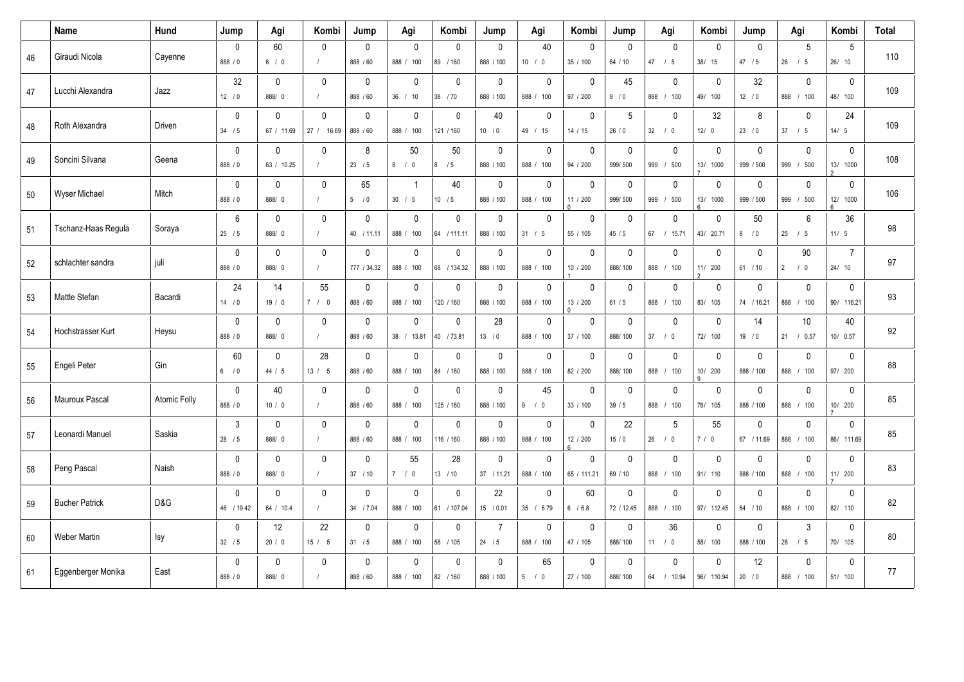|    | Name                  | Hund                | Jump                      | Agi                        | Kombi                      | Jump                       | Agi                         | Kombi                       | Jump                       | Agi                       | Kombi                          | Jump                    | Agi                          | Kombi                     | Jump                      | Agi                       | Kombi                     | <b>Total</b> |
|----|-----------------------|---------------------|---------------------------|----------------------------|----------------------------|----------------------------|-----------------------------|-----------------------------|----------------------------|---------------------------|--------------------------------|-------------------------|------------------------------|---------------------------|---------------------------|---------------------------|---------------------------|--------------|
| 46 | Giraudi Nicola        | Cayenne             | $\mathbf 0$<br>888 / 0    | 60<br>6/0                  | $\mathbf{0}$               | $\mathbf 0$<br>888 / 60    | $\mathbf{0}$<br>888 / 100   | $\mathbf{0}$<br>89 / 160    | $\mathbf 0$<br>888 / 100   | 40<br>10 / 0              | $\mathbf 0$<br>35 / 100        | 0<br>64 / 10            | $\mathbf 0$<br>47 / 5        | $\mathbf 0$<br>38/ 15     | $\Omega$<br>47 / 5        | 5<br>26 / 5               | 5<br>26/10                | 110          |
| 47 | Lucchi Alexandra      | Jazz                | 32<br>12 / 0              | $\mathbf{0}$<br>888/ 0     | $\mathbf{0}$               | $\mathbf 0$<br>888 / 60    | $\mathbf{0}$<br>36 / 10     | $\Omega$<br>38 / 70         | $\mathbf{0}$<br>888 / 100  | $\mathbf 0$<br>888 / 100  | $\mathbf{0}$<br>97 / 200       | 45<br>9/0               | $\mathbf 0$<br>888 / 100     | $\mathbf 0$<br>49/ 100    | 32<br>12 / 0              | $\mathbf 0$<br>888 / 100  | $\mathbf 0$<br>48/ 100    | 109          |
| 48 | Roth Alexandra        | Driven              | $\mathbf 0$<br>34 / 5     | 0<br>67 / 11.69            | $\mathbf{0}$<br>27 / 16.69 | $\mathbf 0$<br>888 / 60    | $\mathbf 0$<br>888 /<br>100 | $\mathbf 0$<br>121 / 160    | 40<br>10 / 0               | $\pmb{0}$<br>49 / 15      | $\mathbf 0$<br>14 / 15         | $5\phantom{.0}$<br>26/0 | $\mathbf 0$<br>32 / 0        | 32<br>12/0                | 8<br>23/0                 | $\mathbf 0$<br>37 / 5     | 24<br>14/5                | 109          |
| 49 | Soncini Silvana       | Geena               | $\mathbf 0$<br>888 / 0    | $\mathbf{0}$<br>63 / 10.25 | $\mathbf{0}$               | 8<br>23/5                  | 50<br>8<br>$\sqrt{0}$       | 50<br>/5<br>8               | $\mathbf 0$<br>888 / 100   | $\mathbf 0$<br>888 / 100  | $\mathbf 0$<br>94 / 200        | 0<br>999/500            | $\mathbf 0$<br>999 / 500     | $\mathbf 0$<br>13/ 1000   | $\mathbf{0}$<br>999 / 500 | $\mathbf 0$<br>999 / 500  | $\mathbf 0$<br>13/ 1000   | 108          |
| 50 | <b>Wyser Michael</b>  | Mitch               | $\mathbf 0$<br>888 / 0    | $\mathbf{0}$<br>888/0      | $\mathbf{0}$<br>$\prime$   | 65<br>5/0                  | $\overline{1}$<br>30 / 5    | 40<br>10 / 5                | $\mathbf 0$<br>888 / 100   | $\mathbf{0}$<br>888 / 100 | $\mathbf{0}$<br>11 / 200       | $\mathbf{0}$<br>999/500 | $\mathbf{0}$<br>999 / 500    | $\mathbf{0}$<br>13/ 1000  | $\mathbf{0}$<br>999 / 500 | $\mathbf 0$<br>999 / 500  | $\mathbf 0$<br>12/ 1000   | 106          |
| 51 | Tschanz-Haas Regula   | Soraya              | $6\phantom{1}$<br>25/5    | $\mathbf{0}$<br>888/0      | $\mathbf{0}$<br>$\prime$   | $\mathbf 0$<br>40 / 11.11  | $\mathbf 0$<br>888 / 100    | $\Omega$<br>64 / 111.11     | $\mathbf{0}$<br>888 / 100  | $\mathbf 0$<br>31 / 5     | $\mathbf{0}$<br>55 / 105       | 0<br>45/5               | $\mathbf 0$<br>67 / 15.71    | $\mathbf 0$<br>43/ 20.71  | 50<br>8 / 0               | $\,6\,$<br>25 / 5         | 36<br>11/5                | 98           |
| 52 | schlachter sandra     | juli                | $\mathbf 0$<br>888 / 0    | $\mathbf 0$<br>888/0       | $\mathbf 0$<br>$\prime$    | $\mathbf 0$<br>777 / 34.32 | $\mathbf 0$<br>888 /<br>100 | $\mathbf 0$<br>68 / 134.32  | $\mathbf 0$<br>888 / 100   | $\mathbf 0$<br>888 / 100  | $\mathbf 0$<br>10 / 200        | 0<br>888/100            | $\mathbf 0$<br>888 /<br>100  | $\mathbf 0$<br>11/ 200    | $\mathbf{0}$<br>61 / 10   | 90<br>2 / 0               | $\overline{7}$<br>24/10   | 97           |
| 53 | Mattle Stefan         | Bacardi             | 24<br>14 / 0              | 14<br>19/0                 | 55<br>7/0                  | 0<br>888 / 60              | $\mathbf 0$<br>888 / 100    | $\Omega$<br>120 / 160       | $\mathbf 0$<br>888 / 100   | $\mathbf 0$<br>888 / 100  | $\mathbf 0$<br>13 / 200        | 0<br>61/5               | $\mathbf 0$<br>888 / 100     | 0<br>83/ 105              | $\mathbf 0$<br>74 / 16.21 | $\mathbf 0$<br>888 / 100  | 0<br>90/ 116.21           | 93           |
| 54 | Hochstrasser Kurt     | Heysu               | $\mathbf 0$<br>888 / 0    | $\mathbf{0}$<br>888/0      | $\mathbf{0}$<br>$\sqrt{ }$ | $\mathbf 0$<br>888 / 60    | $\mathbf{0}$<br>38 / 13.81  | $\Omega$<br>40 / 73.81      | 28<br>13 / 0               | $\mathbf 0$<br>888 / 100  | $\mathbf{0}$<br>37 / 100       | 0<br>888/100            | $\mathbf{0}$<br>37 / 0       | $\mathbf 0$<br>72/ 100    | 14<br>19/0                | 10<br>21 / 0.57           | 40<br>10/ 0.57            | 92           |
| 55 | Engeli Peter          | Gin                 | 60<br>6/0                 | 0<br>44 / 5                | 28<br>13 / 5               | $\mathbf 0$<br>888 / 60    | $\mathbf 0$<br>888 / 100    | $\mathbf 0$<br>84 / 160     | $\mathbf 0$<br>888 / 100   | $\mathbf 0$<br>888 / 100  | $\mathbf 0$<br>82 / 200        | 0<br>888/100            | $\mathbf 0$<br>888 / 100     | 0<br>10/ 200<br>q         | $\mathbf{0}$<br>888 / 100 | $\pmb{0}$<br>888 / 100    | $\pmb{0}$<br>97/ 200      | 88           |
| 56 | Mauroux Pascal        | <b>Atomic Folly</b> | $\mathbf 0$<br>888 / 0    | 40<br>10/0                 | $\mathbf 0$                | $\mathbf 0$<br>888 / 60    | $\mathbf 0$<br>888 /<br>100 | $\mathbf 0$<br>125 / 160    | $\mathbf 0$<br>888 / 100   | 45<br>9/0                 | $\mathbf 0$<br>33 / 100        | 0<br>39/5               | $\mathbf 0$<br>888 / 100     | $\mathbf 0$<br>76/ 105    | $\mathbf 0$<br>888 / 100  | $\pmb{0}$<br>888 / 100    | $\mathbf 0$<br>10/ 200    | 85           |
| 57 | Leonardi Manuel       | Saskia              | 3<br>$28$ / 5             | $\mathbf{0}$<br>888/ 0     | $\mathbf{0}$               | $\mathbf 0$<br>888 / 60    | $\mathbf{0}$<br>888 / 100   | $\mathbf{0}$<br>116 / 160   | $\mathbf{0}$<br>888 / 100  | $\mathbf{0}$<br>888 / 100 | $\mathbf{0}$<br>12 / 200<br>Ŕ. | 22<br>15/0              | 5<br>$26$ / 0                | 55<br>$7/0$               | $\Omega$<br>67 / 11.69    | $\mathbf{0}$<br>888 / 100 | $\mathbf 0$<br>86/ 111.69 | 85           |
| 58 | Peng Pascal           | Naish               | $\mathbf 0$<br>888 / 0    | $\mathbf{0}$<br>888/0      | $\mathbf{0}$<br>$\sqrt{ }$ | $\mathbf 0$<br>37 / 10     | 55<br>7/0                   | 28<br>13 / 10               | $\mathbf 0$<br>37 / 11.21  | $\mathbf 0$<br>888 / 100  | $\mathbf{0}$<br>65 / 111.21    | 0<br>69 / 10            | $\mathbf 0$<br>888 / 100     | $\mathbf 0$<br>91/ 110    | $\mathbf{0}$<br>888 / 100 | $\mathbf 0$<br>888 / 100  | $\mathbf 0$<br>11/ 200    | 83           |
| 59 | <b>Bucher Patrick</b> | D&G                 | $\mathbf 0$<br>46 / 19.42 | 0<br>64 / 10.4             | $\mathbf 0$                | $\mathbf 0$<br>34 / 7.04   | $\mathbf 0$<br>888 / 100    | $\mathbf{0}$<br>61 / 107.04 | 22<br>15 / 0.01            | $\mathbf 0$<br>35 / 6.79  | 60<br>6 / 6.8                  | 0<br>72 / 12.45         | $\mathbf 0$<br>888 / 100     | $\mathbf 0$<br>97/ 112.45 | $\Omega$<br>64 / 10       | $\mathbf 0$<br>888 / 100  | $\pmb{0}$<br>82/ 110      | 82           |
| 60 | <b>Weber Martin</b>   | Isy                 | $\pmb{0}$<br>32 / 5       | 12<br>20/0                 | 22<br>15 / 5               | $\mathbf 0$<br>$31 / 5$    | $\mathbf{0}$<br>888 / 100   | $\mathbf{0}$<br>58 / 105    | $\overline{7}$<br>$24$ / 5 | $\mathbf{0}$<br>888 / 100 | $\mathbf{0}$<br>47 / 105       | $\mathbf{0}$<br>888/100 | 36<br>11 / 0                 | $\mathbf 0$<br>58/ 100    | $\mathbf{0}$<br>888 / 100 | 3<br>28 / 5               | $\pmb{0}$<br>70/ 105      | 80           |
| 61 | Eggenberger Monika    | East                | $\mathbf 0$<br>888 / 0    | $\mathbf{0}$<br>888/0      | $\mathbf{0}$               | $\mathbf 0$<br>888 / 60    | $\mathbf{0}$<br>888 / 100   | $\mathbf{0}$<br>82 / 160    | $\mathbf{0}$<br>888 / 100  | 65<br>5/0                 | $\mathbf{0}$<br>27 / 100       | $\mathbf{0}$<br>888/100 | $\mathbf{0}$<br>64<br>/10.94 | $\mathbf 0$<br>96/ 110.94 | 12<br>20/0                | $\Omega$<br>888 / 100     | $\mathbf 0$<br>51/ 100    | 77           |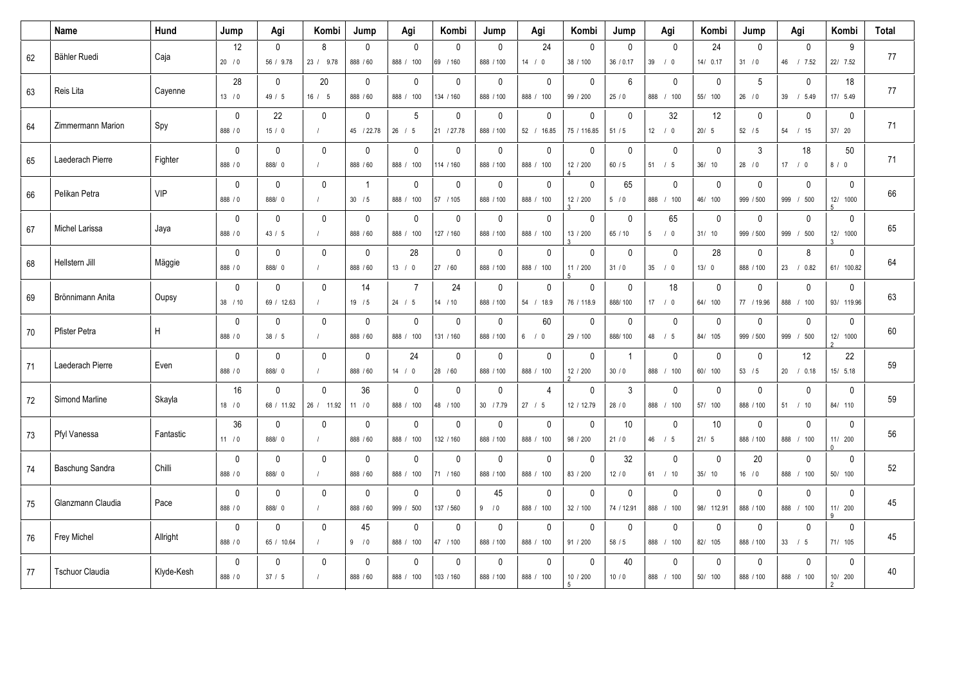|        | Name                   | Hund       | Jump                    | Agi                        | Kombi                           | Jump                      | Agi                                  | Kombi                     | Jump                     | Agi                          | Kombi                      | Jump                      | Agi                                 | Kombi                     | Jump                       | Agi                          | Kombi                                  | <b>Total</b> |
|--------|------------------------|------------|-------------------------|----------------------------|---------------------------------|---------------------------|--------------------------------------|---------------------------|--------------------------|------------------------------|----------------------------|---------------------------|-------------------------------------|---------------------------|----------------------------|------------------------------|----------------------------------------|--------------|
| 62     | Bähler Ruedi           | Caja       | 12<br>20/0              | $\mathbf 0$<br>56 / 9.78   | 8<br>23 / 9.78                  | $\mathbf 0$<br>888 / 60   | $\Omega$<br>888 / 100                | $\Omega$<br>69 / 160      | $\mathbf 0$<br>888 / 100 | 24<br>14 / 0                 | $\Omega$<br>38 / 100       | $\mathbf 0$<br>36 / 0.17  | $\Omega$<br>39 / 0                  | 24<br>14/0.17             | $\Omega$<br>31 / 0         | $\mathbf 0$<br>46 / 7.52     | 9<br>22/ 7.52                          | 77           |
| 63     | Reis Lita              | Cayenne    | 28<br>13/0              | $\mathbf 0$<br>49/5        | 20<br>16/5                      | $\mathbf 0$<br>888 / 60   | $\mathbf 0$<br>888 / 100             | $\Omega$<br>134 / 160     | $\mathbf 0$<br>888 / 100 | $\mathbf 0$<br>888 / 100     | $\mathbf{0}$<br>99 / 200   | 6<br>25/0                 | $\mathbf{0}$<br>888 / 100           | $\mathbf 0$<br>55/ 100    | 5<br>26/0                  | $\mathbf 0$<br>39 / 5.49     | 18<br>17/ 5.49                         | 77           |
| 64     | Zimmermann Marion      | Spy        | $\pmb{0}$<br>888 / 0    | 22<br>15/0                 | $\mathbf 0$<br>$\left  \right $ | $\mathbf 0$<br>45 / 22.78 | $\sqrt{5}$<br>26/<br>5               | $\mathbf 0$<br>21 / 27.78 | $\pmb{0}$<br>888 / 100   | $\pmb{0}$<br>$52$ /<br>16.85 | $\mathbf 0$<br>75 / 116.85 | $\mathbf 0$<br>51/5       | 32<br>$12$ / 0                      | 12<br>20/5                | $\mathbf 0$<br>$52$ / 5    | $\pmb{0}$<br>54 / 15         | $\mathbf 0$<br>37/ 20                  | 71           |
| 65     | Laederach Pierre       | Fighter    | $\mathbf 0$<br>888 / 0  | $\mathbf 0$<br>888/ 0      | $\mathbf 0$                     | $\mathbf 0$<br>888 / 60   | $\mathbf 0$<br>888 / 100             | $\mathbf 0$<br>114 / 160  | $\pmb{0}$<br>888 / 100   | $\mathsf{O}$<br>888 / 100    | $\mathbf 0$<br>12 / 200    | $\mathbf 0$<br>60 / 5     | $\mathbf 0$<br>$51$ / $5$           | $\mathbf 0$<br>36/ 10     | 3<br>28 / 0                | 18<br>17 / 0                 | 50<br>8/0                              | 71           |
| 66     | Pelikan Petra          | <b>VIP</b> | $\mathbf 0$<br>888 / 0  | $\mathbf{0}$<br>888/0      | $\mathbf{0}$<br>$\prime$        | $\mathbf{1}$<br>30 / 5    | $\mathbf{0}$<br>888 / 100            | $\Omega$<br>57 / 105      | $\mathbf 0$<br>888 / 100 | $\mathbf 0$<br>888 / 100     | $\mathbf{0}$<br>12 / 200   | 65<br>5/0                 | $\mathbf{0}$<br>888 / 100           | $\mathbf 0$<br>46/ 100    | $\mathbf{0}$<br>999 / 500  | $\mathbf 0$<br>999 / 500     | $\mathbf 0$<br>12/ 1000<br>5           | 66           |
| 67     | Michel Larissa         | Jaya       | $\mathbf 0$<br>888 / 0  | $\mathbf 0$<br>43 / 5      | $\mathbf{0}$<br>$\prime$        | $\mathbf 0$<br>888 / 60   | $\mathbf 0$<br>888 / 100             | $\Omega$<br>127 / 160     | $\pmb{0}$<br>888 / 100   | $\mathbf 0$<br>888 / 100     | $\mathbf 0$<br>13 / 200    | $\mathbf 0$<br>65 / 10    | 65<br>$5\overline{5}$<br>$\sqrt{0}$ | $\mathbf 0$<br>31/10      | $\mathbf{0}$<br>999 / 500  | $\mathbf 0$<br>999 / 500     | $\mathbf 0$<br>12/ 1000                | 65           |
| 68     | Hellstern Jill         | Mäggie     | $\pmb{0}$<br>888 / 0    | 0<br>888/ 0                | $\mathbf{0}$<br>$\prime$        | $\mathbf 0$<br>888 / 60   | 28<br>13/<br>$\overline{\mathbf{0}}$ | $\mathbf{0}$<br>27 / 60   | $\pmb{0}$<br>888 / 100   | 0<br>888 / 100               | $\mathbf{0}$<br>11 / 200   | 0<br>31/0                 | $\mathbf{0}$<br>35 / 0              | 28<br>13/0                | $\mathbf{0}$<br>888 / 100  | 8<br>23 / 0.82               | 0<br>61/ 100.82                        | 64           |
| 69     | Brönnimann Anita       | Oupsy      | $\mathbf 0$<br>38 / 10  | $\mathbf{0}$<br>69 / 12.63 | $\mathbf{0}$                    | 14<br>19/5                | $\overline{7}$<br>24 / 5             | 24<br>$14$ / 10           | $\mathbf 0$<br>888 / 100 | 0<br>54 / 18.9               | $\mathbf{0}$<br>76 / 118.9 | 0<br>888/100              | 18<br>17 / 0                        | $\mathbf 0$<br>64/ 100    | $\mathbf{0}$<br>77 / 19.96 | $\mathbf 0$<br>888 / 100     | $\mathbf 0$<br>93/ 119.96              | 63           |
| 70     | Pfister Petra          | H          | $\mathbf 0$<br>888 / 0  | $\mathbf 0$<br>38 / 5      | $\mathbf 0$                     | $\mathbf 0$<br>888 / 60   | $\mathbf 0$<br>888 / 100             | $\Omega$<br>131 / 160     | $\pmb{0}$<br>888 / 100   | 60<br>$6$ / 0                | $\mathbf{0}$<br>29 / 100   | $\mathbf 0$<br>888/100    | $\mathbf 0$<br>48 / 5               | $\mathbf 0$<br>84/ 105    | $\mathbf{0}$<br>999 / 500  | $\mathbf 0$<br>999 / 500     | $\mathbf 0$<br>12/ 1000                | 60           |
| 71     | Laederach Pierre       | Even       | $\mathbf{0}$<br>888 / 0 | $\mathbf{0}$<br>888/ 0     | $\mathbf{0}$                    | $\mathbf 0$<br>888 / 60   | 24<br>14 / 0                         | $\Omega$<br>28 / 60       | $\mathbf 0$<br>888 / 100 | 0<br>888 / 100               | $\mathbf{0}$<br>12 / 200   | $\overline{1}$<br>30/0    | $\mathbf{0}$<br>888 / 100           | $\mathbf 0$<br>60/ 100    | $\mathbf{0}$<br>53 / 5     | 12<br>20 / 0.18              | 22<br>15/ 5.18                         | 59           |
| $72\,$ | Simond Marline         | Skayla     | 16<br>18/0              | $\mathbf{0}$<br>68 / 11.92 | $\mathbf{0}$<br>26 / 11.92      | 36<br>11 / 0              | $\mathbf{0}$<br>888 /<br>100         | $\mathbf{0}$<br>48 / 100  | $\mathbf 0$<br>30 / 7.79 | $\overline{4}$<br>27 / 5     | $\mathbf{0}$<br>12 / 12.79 | 3<br>28/0                 | $\mathbf{0}$<br>888 / 100           | $\mathbf 0$<br>57/ 100    | $\mathbf{0}$<br>888 / 100  | $\mathbf 0$<br>51 / 10       | $\mathbf 0$<br>84/ 110                 | 59           |
| 73     | Pfyl Vanessa           | Fantastic  | 36<br>11 / 0            | $\mathbf{0}$<br>888/ 0     | $\mathbf 0$<br>$\prime$         | $\mathbf 0$<br>888 / 60   | $\mathbf{0}$<br>888 / 100            | $\Omega$<br>132 / 160     | $\mathbf 0$<br>888 / 100 | $\mathbf 0$<br>888 / 100     | $\mathbf{0}$<br>98 / 200   | 10<br>21/0                | $\mathbf{0}$<br>46 / 5              | 10<br>21/5                | $\mathbf{0}$<br>888 / 100  | $\mathbf{0}$<br>888 / 100    | $\mathbf 0$<br>11/ 200                 | 56           |
| 74     | Baschung Sandra        | Chilli     | $\mathbf{0}$<br>888 / 0 | $\mathbf{0}$<br>888/ 0     | $\mathbf{0}$                    | $\mathbf 0$<br>888 / 60   | $\mathbf{0}$<br>888 /<br>100         | $\Omega$<br>71 / 160      | $\mathbf 0$<br>888 / 100 | $\mathbf 0$<br>888 / 100     | $\Omega$<br>83 / 200       | 32<br>$12/0$              | $\mathbf{0}$<br>61 / 10             | $\mathbf{0}$<br>35/ 10    | 20<br>16 / 0               | $\mathbf 0$<br>888 / 100     | $\mathbf 0$<br>50/ 100                 | 52           |
| 75     | Glanzmann Claudia      | Pace       | $\mathbf 0$<br>888 / 0  | $\mathbf{0}$<br>888/ 0     | $\mathbf 0$<br>$\prime$         | $\mathbf 0$<br>888 / 60   | $\mathbf 0$<br>500<br>999 /          | $\mathbf{0}$<br>137 / 560 | 45<br>9/0                | 0<br>888 / 100               | $\mathbf{0}$<br>32 / 100   | $\mathbf 0$<br>74 / 12.91 | $\mathbf{0}$<br>888 / 100           | $\mathbf 0$<br>98/ 112.91 | $\mathbf{0}$<br>888 / 100  | $\mathbf 0$<br>888 / 100     | $\mathbf 0$<br>11/ 200<br>$\mathsf{o}$ | 45           |
| 76     | Frey Michel            | Allright   | $\mathbf 0$<br>888 / 0  | $\mathbf 0$<br>65 / 10.64  | $\mathbf 0$                     | 45<br>9/0                 | $\mathbf 0$<br>888 /<br>100          | $\mathbf{0}$<br>47 / 100  | $\pmb{0}$<br>888 / 100   | $\mathbf 0$<br>888 / 100     | $\mathbf 0$<br>91 / 200    | $\mathbf 0$<br>58 / 5     | $\mathbf 0$<br>888 / 100            | $\mathbf 0$<br>82/ 105    | $\mathbf 0$<br>888 / 100   | $\mathbf 0$<br>33 / 5        | $\mathbf 0$<br>71/ 105                 | 45           |
| 77     | <b>Tschuor Claudia</b> | Klyde-Kesh | $\mathbf{0}$<br>888 / 0 | $\mathbf{0}$<br>37/5       | $\mathbf{0}$                    | $\mathbf{0}$<br>888 / 60  | $\mathbf{0}$<br>888 / 100            | $\Omega$<br>103 / 160     | $\mathbf 0$<br>888 / 100 | $\Omega$<br>888 / 100        | $\Omega$<br>10 / 200       | 40<br>10/0                | $\Omega$<br>888 / 100               | $\mathbf 0$<br>50/ 100    | $\mathbf{0}$<br>888 / 100  | $\mathbf{0}$<br>888<br>/ 100 | $\mathbf{0}$<br>10/ 200                | 40           |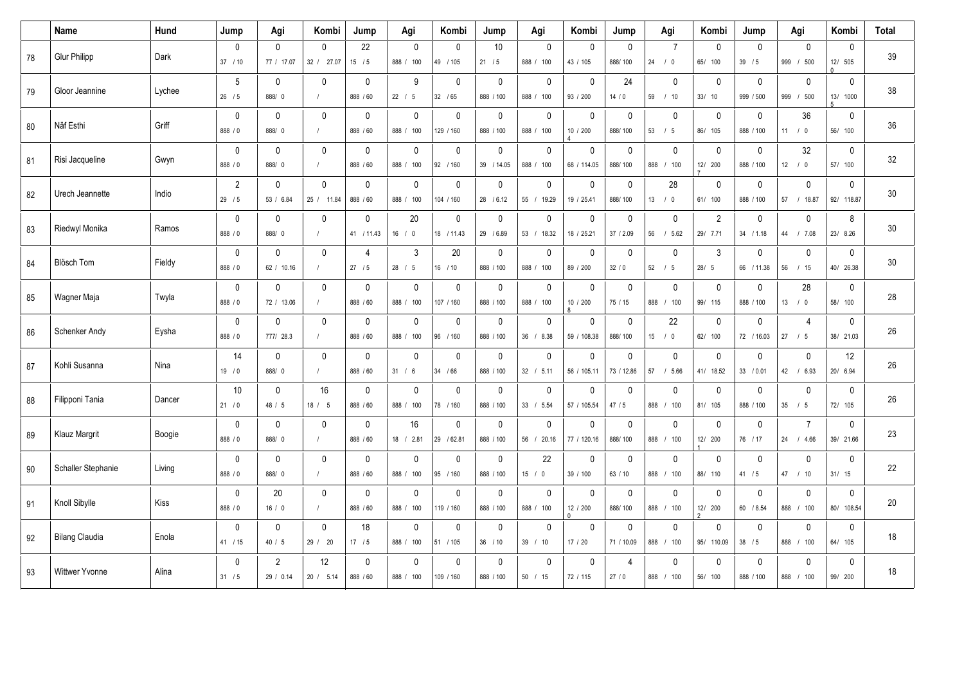|        | Name                  | Hund   | Jump                    | Agi                         | Kombi                      | Jump                      | Agi                         | Kombi                      | Jump                      | Agi                        | Kombi                       | Jump                          | Agi                         | Kombi                      | Jump                       | Agi                                  | Kombi                     | <b>Total</b> |
|--------|-----------------------|--------|-------------------------|-----------------------------|----------------------------|---------------------------|-----------------------------|----------------------------|---------------------------|----------------------------|-----------------------------|-------------------------------|-----------------------------|----------------------------|----------------------------|--------------------------------------|---------------------------|--------------|
| 78     | <b>Glur Philipp</b>   | Dark   | $\mathbf 0$<br>37 / 10  | 0<br>77 / 17.07             | $\mathbf{0}$<br>32 / 27.07 | 22<br>15/5                | $\mathbf{0}$<br>888 / 100   | $\mathbf{0}$<br>49 / 105   | 10<br>21 / 5              | $\mathbf 0$<br>888 / 100   | $\mathbf 0$<br>43 / 105     | 0<br>888/100                  | $\overline{7}$<br>$24$ / 0  | $\mathbf 0$<br>65/ 100     | $\Omega$<br>39 / 5         | $\mathbf 0$<br>999 / 500             | $\mathbf 0$<br>12/ 505    | 39           |
| 79     | Gloor Jeannine        | Lychee | 5<br>$26$ / 5           | $\mathbf{0}$<br>888/ 0      | $\mathbf{0}$               | $\mathbf 0$<br>888 / 60   | 9<br>22 / 5                 | $\Omega$<br>32 / 65        | $\mathbf{0}$<br>888 / 100 | $\mathbf 0$<br>888 / 100   | $\mathbf{0}$<br>93 / 200    | 24<br>14/0                    | $\mathbf 0$<br>59 / 10      | $\mathbf 0$<br>33/10       | $\Omega$<br>999 / 500      | $\mathbf 0$<br>999<br>/500           | $\mathbf 0$<br>13/ 1000   | 38           |
| 80     | Näf Esthi             | Griff  | $\mathbf 0$<br>888 / 0  | 0<br>888/0                  | $\mathbf 0$<br>$\prime$    | $\mathbf 0$<br>888 / 60   | $\mathbf 0$<br>888 /<br>100 | $\mathbf 0$<br>129 / 160   | $\mathbf 0$<br>888 / 100  | $\pmb{0}$<br>888 /<br>100  | $\mathbf 0$<br>10 / 200     | 0<br>888/100                  | $\mathbf 0$<br>$53$ / $5$   | $\mathbf 0$<br>86/ 105     | $\mathbf 0$<br>888 / 100   | 36<br>11 / 0                         | $\pmb{0}$<br>56/ 100      | 36           |
| 81     | Risi Jacqueline       | Gwyn   | $\mathbf 0$<br>888 / 0  | $\mathbf{0}$<br>888/ 0      | $\mathbf{0}$               | $\mathbf 0$<br>888 / 60   | $\mathbf 0$<br>888 / 100    | $\mathbf 0$<br>92 / 160    | $\mathbf 0$<br>39 / 14.05 | $\mathbf 0$<br>888 / 100   | $\mathbf 0$<br>68 / 114.05  | 0<br>888/100                  | $\mathbf 0$<br>888 / 100    | $\mathbf 0$<br>12/ 200     | $\mathbf{0}$<br>888 / 100  | 32<br>12 / 0                         | $\mathbf 0$<br>57/ 100    | 32           |
| 82     | Urech Jeannette       | Indio  | $\sqrt{2}$<br>29/5      | $\mathbf{0}$<br>53 / 6.84   | $\Omega$<br>25 / 11.84     | $\mathbf{0}$<br>888 / 60  | $\mathbf{0}$<br>888 / 100   | $\Omega$<br>104 / 160      | $\mathbf{0}$<br>28 / 6.12 | $\mathbf 0$<br>55 / 19.29  | $\mathbf{0}$<br>19 / 25.41  | 0<br>888/100                  | 28<br>13 / 0                | $\mathbf 0$<br>61/ 100     | $\mathbf{0}$<br>888 / 100  | $\mathbf 0$<br>57 / 18.87            | $\mathbf 0$<br>92/ 118.87 | 30           |
| 83     | Riedwyl Monika        | Ramos  | $\mathbf{0}$<br>888 / 0 | $\mathbf{0}$<br>888/0       | $\mathbf{0}$<br>$\prime$   | $\mathbf 0$<br>41 / 11.43 | 20<br>16 / 0                | $\Omega$<br>18 / 11.43     | $\mathbf{0}$<br>29 / 6.89 | $\mathbf 0$<br>53 / 18.32  | $\mathbf{0}$<br>18 / 25.21  | 0<br>37 / 2.09                | $\mathbf 0$<br>56<br>/5.62  | $\overline{2}$<br>29/ 7.71 | $\Omega$<br>34 / 1.18      | $\mathbf 0$<br>44 / 7.08             | 8<br>23/ 8.26             | 30           |
| 84     | Blösch Tom            | Fieldy | $\mathbf 0$<br>888 / 0  | 0<br>62 / 10.16             | $\mathbf 0$                | 4<br>27/5                 | 3<br>28 / 5                 | 20<br>16 / 10              | $\pmb{0}$<br>888 / 100    | $\mathsf 0$<br>888 / 100   | $\mathbf 0$<br>89 / 200     | 0<br>32/0                     | $\mathbf 0$<br>$52$ / $5$   | $\mathfrak{Z}$<br>28/5     | $\mathbf 0$<br>66 / 11.38  | $\pmb{0}$<br>56 / 15                 | $\pmb{0}$<br>40/ 26.38    | $30\,$       |
| 85     | Wagner Maja           | Twyla  | $\mathbf 0$<br>888 / 0  | $\Omega$<br>72 / 13.06      | $\mathbf 0$                | $\mathbf 0$<br>888 / 60   | $\mathbf 0$<br>888 / 100    | $\mathbf 0$<br>107 / 160   | $\mathbf 0$<br>888 / 100  | $\mathbf 0$<br>888 / 100   | $\mathbf 0$<br>10 / 200     | 0<br>75 / 15                  | $\mathbf 0$<br>888 / 100    | 0<br>99/ 115               | $\Omega$<br>888 / 100      | 28<br>13 / 0                         | 0<br>58/ 100              | 28           |
| 86     | Schenker Andy         | Eysha  | $\mathbf 0$<br>888 / 0  | 0<br>777/ 28.3              | $\mathbf{0}$               | $\mathbf 0$<br>888 / 60   | $\mathbf 0$<br>888 / 100    | $\Omega$<br>96 / 160       | $\mathbf 0$<br>888 / 100  | $\mathbf 0$<br>36 / 8.38   | $\mathbf{0}$<br>59 / 108.38 | 0<br>888/100                  | 22<br>$15$ / 0              | $\mathbf 0$<br>62/ 100     | $\mathbf{0}$<br>72 / 16.03 | 4<br>27 / 5                          | $\mathbf 0$<br>38/ 21.03  | 26           |
| 87     | Kohli Susanna         | Nina   | 14<br>19/0              | 0<br>888/0                  | $\mathbf 0$                | $\mathbf 0$<br>888 / 60   | $\mathbf 0$<br>31 / 6       | $\Omega$<br>34 / 66        | $\mathbf 0$<br>888 / 100  | $\mathbf 0$<br>32 / 5.11   | $\mathbf{0}$<br>56 / 105.11 | 0<br>73 / 12.86               | $\mathbf 0$<br>57<br>/5.66  | $\mathbf 0$<br>41/ 18.52   | $\mathbf{0}$<br>33 / 0.01  | $\mathbf 0$<br>42 / 6.93             | 12<br>20/ 6.94            | 26           |
| 88     | Filipponi Tania       | Dancer | $10$<br>21/0            | 0<br>48 / 5                 | 16<br>18 / 5               | $\mathbf 0$<br>888 / 60   | $\mathbf 0$<br>888 /<br>100 | $\mathbf 0$<br>78 / 160    | $\mathbf 0$<br>888 / 100  | $\mathbf 0$<br>33 / 5.54   | $\mathbf 0$<br>57 / 105.54  | 0<br>47/5                     | $\mathbf 0$<br>888 /<br>100 | $\pmb{0}$<br>81/ 105       | $\mathbf 0$<br>888 / 100   | $\mathbf 0$<br>$35 \qquad / \quad 5$ | $\mathbf 0$<br>72/ 105    | 26           |
| 89     | Klauz Margrit         | Boogie | $\mathbf{0}$<br>888 / 0 | $\mathbf{0}$<br>888/ 0      | $\mathbf{0}$               | $\mathbf 0$<br>888 / 60   | 16<br>18 / 2.81             | $\mathbf{0}$<br>29 / 62.81 | $\mathbf{0}$<br>888 / 100 | $\mathbf{0}$<br>56 / 20.16 | $\mathbf{0}$<br>77 / 120.16 | $\mathbf{0}$<br>888/100       | $\mathbf{0}$<br>888 / 100   | $\mathbf 0$<br>12/ 200     | $\mathbf{0}$<br>76 / 17    | $\overline{7}$<br>24 / 4.66          | $\mathbf 0$<br>39/ 21.66  | 23           |
| $90\,$ | Schaller Stephanie    | Living | $\mathbf 0$<br>888 / 0  | $\mathbf{0}$<br>888/0       | $\mathbf{0}$<br>$\prime$   | $\mathbf 0$<br>888 / 60   | $\mathbf 0$<br>888 / 100    | $\mathbf{0}$<br>95 / 160   | $\mathbf 0$<br>888 / 100  | 22<br>15 / 0               | $\mathbf{0}$<br>39 / 100    | 0<br>63 / 10                  | $\mathbf 0$<br>888 / 100    | $\mathbf 0$<br>88/ 110     | $\Omega$<br>41 / 5         | $\mathbf 0$<br>47 / 10               | $\pmb{0}$<br>31/15        | 22           |
| 91     | Knoll Sibylle         | Kiss   | $\mathbf 0$<br>888 / 0  | 20<br>16/0                  | $\mathbf 0$<br>$\prime$    | $\mathbf 0$<br>888 / 60   | $\mathbf 0$<br>888 / 100    | $\mathbf 0$<br>119 / 160   | $\mathbf 0$<br>888 / 100  | $\mathbf 0$<br>888 / 100   | $\mathbf 0$<br>12 / 200     | 0<br>888/100                  | $\mathbf 0$<br>888 / 100    | $\mathbf 0$<br>12/ 200     | $\mathbf{0}$<br>60 / 8.54  | $\mathbf 0$<br>888 / 100             | $\pmb{0}$<br>80/ 108.54   | 20           |
| 92     | <b>Bilang Claudia</b> | Enola  | $\mathbf{0}$<br>41 / 15 | $\mathbf{0}$<br>40 / 5      | $\mathbf{0}$<br>29 / 20    | 18<br>$17/5$              | $\mathbf{0}$<br>888 / 100   | $\mathbf{0}$<br>51 / 105   | $\mathbf{0}$<br>36 / 10   | $\mathbf{0}$<br>39 / 10    | $\mathbf{0}$<br>17/20       | $\mathbf{0}$<br>71 / 10.09    | $\mathbf{0}$<br>888 / 100   | $\mathbf 0$<br>95/ 110.09  | $\mathbf{0}$<br>38 / 5     | $\mathbf{0}$<br>888 / 100            | $\mathbf 0$<br>64/ 105    | 18           |
| 93     | <b>Wittwer Yvonne</b> | Alina  | $\mathbf{0}$<br>31 / 5  | $\overline{2}$<br>29 / 0.14 | 12<br>20 / 5.14            | $\mathbf{0}$<br>888 / 60  | $\mathbf{0}$<br>888 / 100   | $\mathbf{0}$<br>109 / 160  | $\mathbf{0}$<br>888 / 100 | $\Omega$<br>50 / 15        | $\mathbf{0}$<br>72 / 115    | $\boldsymbol{\Delta}$<br>27/0 | $\Omega$<br>888 / 100       | $\mathbf 0$<br>56/ 100     | $\mathbf{0}$<br>888 / 100  | $\mathbf{0}$<br>888<br>/100          | $\mathbf 0$<br>99/ 200    | 18           |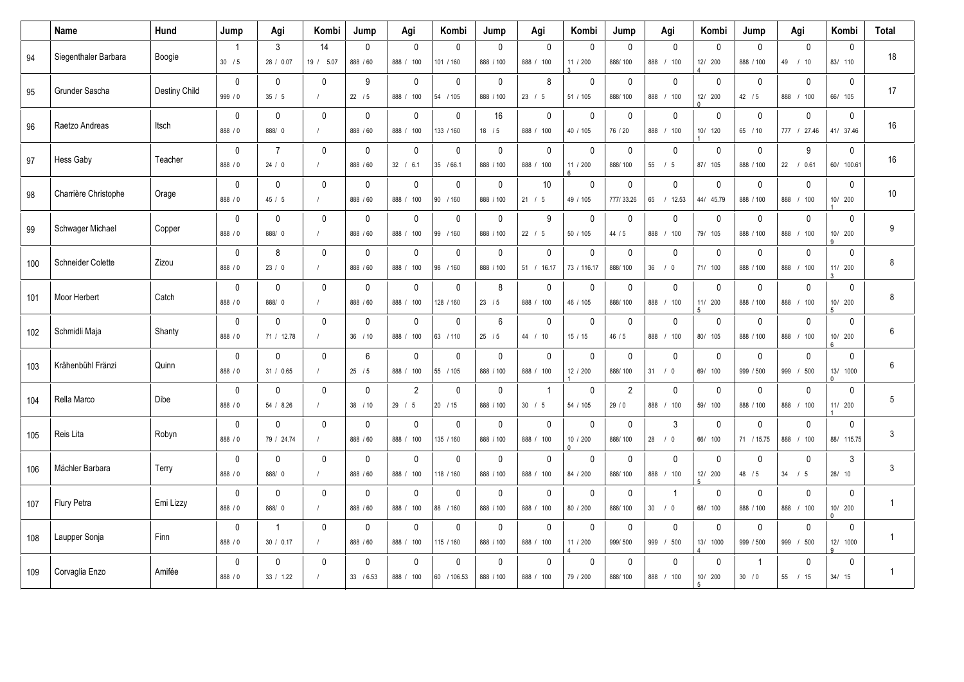|     | Name                     | Hund          | Jump                     | Agi                        | Kombi                   | Jump                      | Agi                          | Kombi                     | Jump                         | Agi                                    | Kombi                              | Jump                     | Agi                         | Kombi                    | Jump                       | Agi                       | Kombi                               | <b>Total</b> |
|-----|--------------------------|---------------|--------------------------|----------------------------|-------------------------|---------------------------|------------------------------|---------------------------|------------------------------|----------------------------------------|------------------------------------|--------------------------|-----------------------------|--------------------------|----------------------------|---------------------------|-------------------------------------|--------------|
| 94  | Siegenthaler Barbara     | Boogie        | $\overline{1}$<br>30 / 5 | 3<br>28 / 0.07             | 14<br>19 / 5.07         | $\mathbf{0}$<br>888 / 60  | $\mathbf{0}$<br>888 / 100    | $\mathbf{0}$<br>101 / 160 | $\mathbf{0}$<br>888 / 100    | $\mathbf{0}$<br>888 / 100              | $\mathbf{0}$<br>11 / 200           | $\mathbf{0}$<br>888/100  | $\mathbf{0}$<br>888 / 100   | $\mathbf{0}$<br>12/ 200  | $\mathbf{0}$<br>888 / 100  | $\mathbf{0}$<br>49 / 10   | $\mathbf{0}$<br>83/ 110             | 18           |
| 95  | Grunder Sascha           | Destiny Child | $\mathbf 0$<br>999 / 0   | $\mathbf{0}$<br>35/5       | $\mathbf{0}$            | 9<br>$22 \t/5$            | $\mathbf 0$<br>888 / 100     | $\mathbf{0}$<br>54 / 105  | $\mathbf 0$<br>888 / 100     | 8<br>23 / 5                            | $\mathbf{0}$<br>51 / 105           | $\mathbf 0$<br>888/100   | $\mathbf 0$<br>888 / 100    | $\mathbf 0$<br>12/ 200   | $\mathbf{0}$<br>42/5       | 0<br>888<br>/100          | $\mathbf 0$<br>66/ 105              | 17           |
| 96  | Raetzo Andreas           | Itsch         | $\mathbf 0$<br>888 / 0   | 0<br>888/ 0                | $\mathbf 0$<br>$\prime$ | $\mathbf 0$<br>888 / 60   | $\mathbf 0$<br>888 /<br>100  | $\mathbf 0$<br>133 / 160  | 16<br>$18$ / 5               | $\mathbf 0$<br>888 / 100               | 0<br>40 / 105                      | 0<br>76 / 20             | $\mathbf 0$<br>888 /<br>100 | $\mathbf 0$<br>10/ 120   | $\mathbf 0$<br>65 / 10     | 0<br>777 / 27.46          | $\pmb{0}$<br>41/ 37.46              | 16           |
| 97  | <b>Hess Gaby</b>         | Teacher       | $\mathbf 0$<br>888 / 0   | $\overline{7}$<br>24/0     | $\mathbf{0}$            | $\mathbf 0$<br>888 / 60   | $\mathbf 0$<br>32 / 6.1      | $\mathbf 0$<br>35 / 66.1  | $\mathbf{0}$<br>888 / 100    | $\mathbf 0$<br>888 / 100               | $\mathbf{0}$<br>11 / 200           | $\mathbf 0$<br>888/100   | $\mathbf 0$<br>55<br>/5     | $\mathbf 0$<br>87/ 105   | $\mathbf 0$<br>888 / 100   | 9<br>22 / 0.61            | $\mathbf{0}$<br>60/ 100.61          | 16           |
| 98  | Charrière Christophe     | Orage         | $\mathbf 0$<br>888 / 0   | $\mathbf 0$<br>45/5        | $\mathbf 0$             | $\mathbf 0$<br>888 / 60   | $\mathbf 0$<br>888 /<br>100  | $\mathbf 0$<br>90 / 160   | $\mathbf 0$<br>888 / 100     | 10<br>21 / 5                           | $\mathbf 0$<br>49 / 105            | $\mathbf 0$<br>777/33.26 | $\mathbf{0}$<br>65 / 12.53  | $\mathbf 0$<br>44/ 45.79 | $\mathbf 0$<br>888 / 100   | 0<br>888 / 100            | $\mathbf 0$<br>10/ 200              | 10           |
| 99  | Schwager Michael         | Copper        | $\mathbf 0$<br>888 / 0   | $\Omega$<br>888/ 0         | $\Omega$<br>$\prime$    | $\mathbf{0}$<br>888 / 60  | $\mathbf 0$<br>888 / 100     | $\mathbf{0}$<br>99 / 160  | $\mathbf{0}$<br>888 / 100    | 9<br>22 / 5                            | $\mathbf{0}$<br>50 / 105           | $\mathbf{0}$<br>44 / 5   | $\mathbf{0}$<br>888 / 100   | $\mathbf 0$<br>79/ 105   | $\mathbf 0$<br>888 / 100   | 0<br>888<br>/100          | $\mathbf{0}$<br>10/ 200<br>q        | 9            |
| 100 | <b>Schneider Colette</b> | Zizou         | $\mathbf 0$<br>888 / 0   | 8<br>23/0                  | $\mathbf 0$<br>$\prime$ | $\mathbf 0$<br>888 / 60   | $\mathbf 0$<br>888 /<br>100  | $\mathbf 0$<br>98 / 160   | $\mathbf 0$<br>888 / 100     | $\pmb{0}$<br>51 / 16.17                | 0<br>73 / 116.17                   | $\mathbf 0$<br>888/100   | $\mathbf 0$<br>36 / 0       | $\mathbf 0$<br>71/ 100   | $\mathbf 0$<br>888 / 100   | 0<br>888 /<br>100         | $\mathbf 0$<br>11/ 200              | 8            |
| 101 | Moor Herbert             | Catch         | $\mathbf 0$<br>888 / 0   | $\mathbf 0$<br>888/0       | $\Omega$                | $\mathbf 0$<br>888 / 60   | 0<br>888 / 100               | 0<br>128 / 160            | 8<br>23 / 5                  | 0<br>888 / 100                         | $\mathbf 0$<br>46 / 105            | 0<br>888/100             | 0<br>888 / 100              | $\mathbf 0$<br>11/ 200   | $\mathbf 0$<br>888 / 100   | 0<br>888 / 100            | $\mathbf 0$<br>10/ 200              | 8            |
| 102 | Schmidli Maja            | Shanty        | $\mathbf 0$<br>888 / 0   | $\mathbf{0}$<br>71 / 12.78 | $\mathbf{0}$            | 0<br>36 / 10              | $\mathbf{0}$<br>888 /<br>100 | $\Omega$<br>63 / 110      | $6\phantom{1}$<br>$25$ / $5$ | $\mathbf 0$<br>44 / 10                 | $\mathbf{0}$<br>15/15              | $\mathbf 0$<br>46 / 5    | $\Omega$<br>888 / 100       | $\mathbf 0$<br>80/ 105   | $\mathbf{0}$<br>888 / 100  | 0<br>888 /<br>100         | $\mathbf{0}$<br>10/ 200             | 6            |
| 103 | Krähenbühl Fränzi        | Quinn         | $\mathbf 0$<br>888 / 0   | $\mathbf{0}$<br>31 / 0.65  | $\mathbf 0$             | 6<br>25/5                 | $\mathbf 0$<br>888 / 100     | $\mathbf 0$<br>55 / 105   | $\mathbf 0$<br>888 / 100     | 0<br>888 / 100                         | $\mathbf 0$<br>12 / 200            | $\mathbf 0$<br>888/100   | $\mathbf 0$<br>31 / 0       | $\mathbf 0$<br>69/ 100   | $\mathbf{0}$<br>999 / 500  | 0<br>999 / 500            | $\mathbf 0$<br>13/ 1000<br>$\cap$   | 6            |
| 104 | Rella Marco              | Dibe          | $\mathbf 0$<br>888 / 0   | $\mathbf{0}$<br>54 / 8.26  | $\mathbf{0}$            | 0<br>38 / 10              | $\overline{2}$<br>29 / 5     | $\mathbf{0}$<br>20 / 15   | $\mathbf 0$<br>888 / 100     | $\overline{1}$<br>$30 \quad / \quad 5$ | $\mathbf{0}$<br>54 / 105           | $\sqrt{2}$<br>29/0       | $\mathbf{0}$<br>888 / 100   | $\mathbf 0$<br>59/ 100   | $\mathbf{0}$<br>888 / 100  | 0<br>888 / 100            | $\mathbf{0}$<br>11/ 200             | 5            |
| 105 | Reis Lita                | Robyn         | $\mathbf 0$<br>888 / 0   | $\Omega$<br>79 / 24.74     | $\mathbf{0}$            | 0<br>888 / 60             | $\mathbf{0}$<br>888 / 100    | $\mathbf{0}$<br>135 / 160 | $\mathbf 0$<br>888 / 100     | $\mathbf 0$<br>888 / 100               | $\mathbf{0}$<br>10 / 200<br>$\cap$ | $\mathbf 0$<br>888/100   | 3<br>$28$ / 0               | $\mathbf 0$<br>66/ 100   | $\mathbf{0}$<br>71 / 15.75 | 0<br>888<br>/100          | $\mathbf{0}$<br>88/ 115.75          | 3            |
| 106 | Mächler Barbara          | Terry         | $\mathbf 0$<br>888 / 0   | $\mathbf 0$<br>888/0       | $\mathbf 0$             | 0<br>888 / 60             | $\mathbf 0$<br>888 /<br>100  | $\mathbf 0$<br>118 / 160  | $\mathbf 0$<br>888 / 100     | 0<br>888 /<br>100                      | $\mathbf 0$<br>84 / 200            | $\mathbf 0$<br>888/100   | $\mathbf 0$<br>888 /<br>100 | $\mathbf 0$<br>12/ 200   | $\Omega$<br>48 / 5         | 0<br>$34 \quad / \quad 5$ | 3<br>28/ 10                         | 3            |
| 107 | Flury Petra              | Emi Lizzy     | $\mathbf{0}$<br>888 / 0  | $\Omega$<br>888/0          | $\mathbf{0}$            | 0<br>888 / 60             | $\mathbf 0$<br>888 / 100     | $\mathbf{0}$<br>88 / 160  | $\mathbf{0}$<br>888 / 100    | $\mathbf 0$<br>888 / 100               | $\mathbf{0}$<br>80 / 200           | $\mathbf 0$<br>888/100   | $\overline{1}$<br>30 / 0    | $\mathbf 0$<br>68/ 100   | $\mathbf{0}$<br>888 / 100  | 0<br>888<br>/100          | $\mathbf{0}$<br>10/ 200<br>O.       | $\mathbf{1}$ |
| 108 | Laupper Sonja            | Finn          | $\mathbf 0$<br>888 / 0   | $\mathbf{1}$<br>30 / 0.17  | $\mathbf 0$             | 0<br>888 / 60             | $\mathbf 0$<br>888 /<br>100  | $\mathbf 0$<br>115 / 160  | $\mathbf 0$<br>888 / 100     | 0<br>888 /<br>100                      | $\mathbf 0$<br>11 / 200            | $\mathbf 0$<br>999/500   | $\mathbf 0$<br>999 /<br>500 | $\mathbf 0$<br>13/ 1000  | $\mathbf 0$<br>999 / 500   | 0<br>999 / 500            | $\mathbf 0$<br>12/ 1000<br>$\Omega$ | $\mathbf{1}$ |
| 109 | Corvaglia Enzo           | Amifée        | $\mathbf 0$<br>888 / 0   | $\Omega$<br>33 / 1.22      | $\mathbf{0}$            | $\mathbf{0}$<br>33 / 6.53 | $\Omega$<br>888 / 100        | $\Omega$<br>60 / 106.53   | $\mathbf{0}$<br>888 / 100    | $\Omega$<br>888 / 100                  | $\Omega$<br>79 / 200               | $\mathbf{0}$<br>888/100  | $\Omega$<br>888 / 100       | $\mathbf 0$<br>10/ 200   | 30 / 0                     | $\Omega$<br>/15<br>55     | $\Omega$<br>34/15                   | $\mathbf{1}$ |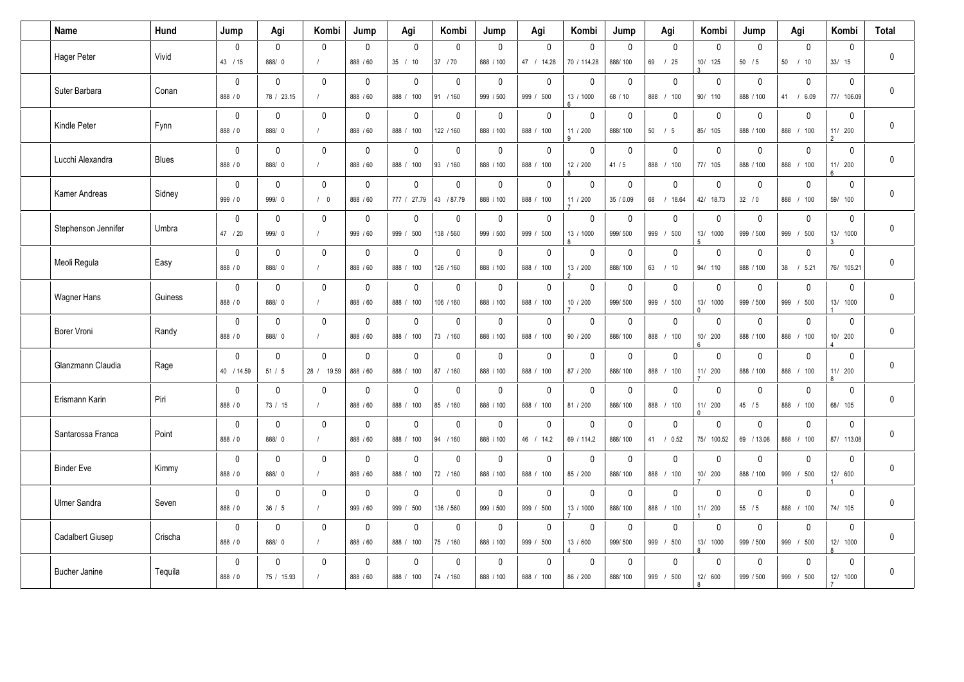| Name                    | Hund         | Jump                   | Agi                        | Kombi                      | Jump                     | Agi                         | Kombi                     | Jump                     | Agi                         | Kombi                                      | Jump                     | Agi                        | Kombi                    | Jump                       | Agi                                      | Kombi                               | <b>Total</b> |
|-------------------------|--------------|------------------------|----------------------------|----------------------------|--------------------------|-----------------------------|---------------------------|--------------------------|-----------------------------|--------------------------------------------|--------------------------|----------------------------|--------------------------|----------------------------|------------------------------------------|-------------------------------------|--------------|
| Hager Peter             | Vivid        | 0<br>43 / 15           | $\Omega$<br>888/0          | $\mathbf 0$<br>$\prime$    | $\mathbf 0$<br>888 / 60  | $\Omega$<br>35 / 10         | $\mathbf 0$<br>37 / 70    | 0<br>888 / 100           | $\mathbf 0$<br>47 / 14.28   | $\Omega$<br>70 / 114.28                    | $\Omega$<br>888/100      | $\Omega$<br>69 / 25        | 0<br>10/ 125             | $\Omega$<br>50/5           | 0<br>50 / 10                             | $\mathbf 0$<br>33/15                | 0            |
| Suter Barbara           | Conan        | $\mathbf 0$<br>888 / 0 | $\mathbf{0}$<br>78 / 23.15 | 0<br>$\prime$              | $\mathbf 0$<br>888 / 60  | $\mathbf 0$<br>888 / 100    | $\mathbf 0$<br>91 / 160   | $\mathbf 0$<br>999 / 500 | $\mathbf 0$<br>500<br>999 / | 0<br>13 / 1000                             | $\mathbf{0}$<br>68 / 10  | $\mathbf{0}$<br>888 / 100  | 0<br>90/ 110             | $\mathbf{0}$<br>888 / 100  | $\mathbf 0$<br>41 / 6.09                 | $\mathbf 0$<br>77/ 106.09           | 0            |
| Kindle Peter            | Fynn         | $\mathbf 0$<br>888 / 0 | $\mathbf 0$<br>888/0       | $\mathbf 0$<br>$\prime$    | $\mathbf 0$<br>888 / 60  | $\mathbf 0$<br>888<br>100   | $\mathbf 0$<br>122 / 160  | $\mathbf 0$<br>888 / 100 | $\mathbf 0$<br>100<br>888 / | $\mathbf 0$<br>11 / 200                    | $\mathbf 0$<br>888/100   | $\mathbf 0$<br>$50$ / $5$  | $\mathbf 0$<br>85/ 105   | $\mathbf 0$<br>888 / 100   | $\mathbf 0$<br>888 /<br>100              | $\mathbf 0$<br>11/ 200              | 0            |
| Lucchi Alexandra        | <b>Blues</b> | $\mathbf 0$<br>888 / 0 | $\Omega$<br>888/0          | 0<br>$\prime$              | $\mathbf 0$<br>888 / 60  | $\mathsf 0$<br>888 / 100    | $\mathbf 0$<br>93 / 160   | 0<br>888 / 100           | $\mathbf 0$<br>888 / 100    | $\mathbf 0$<br>12 / 200                    | $\mathbf 0$<br>41/5      | $\mathbf 0$<br>888 / 100   | 0<br>77/ 105             | $\mathbf 0$<br>888 / 100   | $\mathbf 0$<br>888 / 100                 | $\mathbf 0$<br>11/ 200              | 0            |
| Kamer Andreas           | Sidney       | $\mathbf 0$<br>999 / 0 | $\mathbf{0}$<br>999/0      | $\mathbf{0}$<br>/ 0        | $\mathbf 0$<br>888 / 60  | $\mathbf{0}$<br>777 / 27.79 | $\mathbf 0$<br>43 / 87.79 | $\mathbf 0$<br>888 / 100 | $\mathbf 0$<br>888 / 100    | $\mathbf{0}$<br>11 / 200                   | $\mathbf 0$<br>35 / 0.09 | $\mathbf{0}$<br>68 / 18.64 | $\mathbf 0$<br>42/ 18.73 | $\mathbf{0}$<br>32 / 0     | $\mathbf 0$<br>888 /<br>100              | $\mathbf 0$<br>59/ 100              | 0            |
| Stephenson Jennifer     | Umbra        | 0<br>47 / 20           | $\mathbf{0}$<br>999/0      | $\mathbf 0$<br>$\prime$    | $\mathbf 0$<br>999 / 60  | $\mathsf 0$<br>999 / 500    | $\mathbf 0$<br>138 / 560  | 0<br>999 / 500           | $\mathbf 0$<br>999 /<br>500 | $\mathbf 0$<br>13 / 1000                   | $\mathbf 0$<br>999/500   | $\mathbf 0$<br>999 / 500   | 0<br>13/ 1000            | $\mathbf 0$<br>999 / 500   | $\mathbf 0$<br>999 /<br>500              | $\mathbf 0$<br>13/ 1000             | 0            |
| Meoli Regula            | Easy         | 0<br>888 / 0           | $\mathbf{0}$<br>888/0      | 0<br>$\prime$              | 0<br>888 / 60            | $\mathbf 0$<br>888<br>100   | $\mathbf 0$<br>126 / 160  | 0<br>888 / 100           | 0<br>888 /<br>100           | 0<br>13 / 200                              | 0<br>888/100             | $\mathbf{0}$<br>63 / 10    | 0<br>94/ 110             | 0<br>888 / 100             | 0<br>38 / 5.21                           | $\mathbf 0$<br>76/ 105.21           | 0            |
| <b>Wagner Hans</b>      | Guiness      | $\mathbf 0$<br>888 / 0 | $\mathbf{0}$<br>888/0      | 0<br>$\prime$              | $\mathbf 0$<br>888 / 60  | $\mathbf 0$<br>888 / 100    | 0<br>106 / 160            | 0<br>888 / 100           | $\mathbf 0$<br>888 / 100    | $\mathbf 0$<br>10 / 200                    | $\mathbf{0}$<br>999/500  | $\mathbf{0}$<br>999 / 500  | 0<br>13/ 1000            | $\mathbf{0}$<br>999 / 500  | 0<br>999 / 500                           | $\mathbf{0}$<br>13/ 1000            | 0            |
| Borer Vroni             | Randy        | $\mathbf 0$<br>888 / 0 | $\mathbf 0$<br>888/0       | 0<br>$\prime$              | $\mathbf 0$<br>888 / 60  | $\mathbf 0$<br>888 / 100    | $\mathbf 0$<br>73 / 160   | 0<br>888 / 100           | $\mathbf 0$<br>888 /<br>100 | $\mathbf{0}$<br>90 / 200                   | $\mathbf 0$<br>888/100   | $\mathbf{0}$<br>888 / 100  | 0<br>10/ 200             | $\mathbf 0$<br>888 / 100   | 0<br>888 /<br>100                        | $\mathbf 0$<br>10/ 200              | 0            |
| Glanzmann Claudia       | Rage         | 0<br>40 / 14.59        | $\mathbf{0}$<br>51/5       | $\mathbf{0}$<br>28 / 19.59 | $\mathbf{0}$<br>888 / 60 | $\mathbf 0$<br>888 / 100    | $\mathbf{0}$<br>87 / 160  | 0<br>888 / 100           | $\mathbf 0$<br>888 / 100    | 0<br>87 / 200                              | $\mathbf{0}$<br>888/100  | $\mathbf{0}$<br>888 / 100  | 0<br>11/ 200             | $\mathbf 0$<br>888 / 100   | 0<br>888 / 100                           | $\mathbf{0}$<br>11/ 200<br>$\Omega$ | $\mathbf{0}$ |
| Erismann Karin          | Piri         | $\mathbf 0$<br>888 / 0 | $\mathbf 0$<br>73 / 15     | 0<br>$\prime$              | $\mathbf 0$<br>888 / 60  | $\mathbf 0$<br>888<br>100   | $\mathbf 0$<br>85 / 160   | $\mathbf 0$<br>888 / 100 | $\mathbf 0$<br>888 /<br>100 | $\mathbf 0$<br>81 / 200                    | $\mathbf{0}$<br>888/100  | $\mathbf{0}$<br>888 / 100  | $\mathbf 0$<br>11/ 200   | $\mathbf 0$<br>45 / 5      | 0<br>888 /<br>100                        | $\mathbf 0$<br>68/ 105              | 0            |
| Santarossa Franca       | Point        | $\mathbf 0$<br>888 / 0 | $\mathbf{0}$<br>888/0      | 0<br>$\sqrt{ }$            | $\mathbf 0$<br>888 / 60  | $\mathbf 0$<br>888 / 100    | $\mathbf 0$<br>94 / 160   | 0<br>888 / 100           | $\mathbf 0$<br>46 / 14.2    | $\mathbf{0}$<br>69 / 114.2                 | $\mathbf{0}$<br>888/100  | $\mathbf{0}$<br>41 / 0.52  | 0<br>75/ 100.52          | $\mathbf{0}$<br>69 / 13.08 | 0<br>888 / 100                           | $\mathbf{0}$<br>87/ 113.08          | 0            |
| <b>Binder Eve</b>       | Kimmy        | $\mathbf 0$<br>888 / 0 | $\mathbf{0}$<br>888/0      | $\mathbf{0}$<br>$\prime$   | $\mathbf{0}$<br>888 / 60 | $\mathbf{0}$<br>888 / 100   | $\mathbf{0}$<br>72 / 160  | $\mathbf 0$<br>888 / 100 | $\mathbf 0$<br>888 /<br>100 | $\mathbf{0}$<br>85 / 200                   | $\mathbf{0}$<br>888/100  | $\mathbf{0}$<br>888 / 100  | $\mathbf{0}$<br>10/ 200  | $\mathbf{0}$<br>888 / 100  | $\mathbf{0}$<br>999 /<br>500             | $\mathbf{0}$<br>12/ 600             | $\mathbf{0}$ |
| <b>Ulmer Sandra</b>     | Seven        | 0<br>888 / 0           | $\mathbf{0}$<br>36/5       | 0<br>$\prime$              | $\mathbf 0$<br>999 / 60  | $\mathbf 0$<br>999 / 500    | $\mathbf 0$<br>136 / 560  | 0<br>999 / 500           | $\mathbf 0$<br>500<br>999 / | $\mathbf 0$<br>13 / 1000<br>$\overline{7}$ | $\mathbf{0}$<br>888/100  | $\mathbf{0}$<br>888 / 100  | 0<br>11/ 200             | $\mathbf{0}$<br>55 / 5     | $\mathbf 0$<br>888 / 100                 | $\mathbf{0}$<br>74/ 105             | 0            |
| <b>Cadalbert Giusep</b> | Crischa      | $\mathbf 0$<br>888 / 0 | $\mathbf 0$<br>888/0       | $\mathbf 0$<br>$\prime$    | $\mathbf 0$<br>888 / 60  | $\mathbf 0$<br>888 / 100    | $\mathbf 0$<br>75 / 160   | $\mathbf 0$<br>888 / 100 | $\mathbf 0$<br>999 /<br>500 | $\mathbf 0$<br>13 / 600                    | $\mathbf 0$<br>999/500   | $\mathbf 0$<br>999 / 500   | $\mathbf 0$<br>13/ 1000  | $\mathbf 0$<br>999 / 500   | 0<br>999 /<br>500                        | $\mathbf 0$<br>12/ 1000             | 0            |
| <b>Bucher Janine</b>    | Tequila      | 0<br>888 / 0           | $\Omega$<br>75 / 15.93     | $\mathbf{0}$<br>$\prime$   | $\mathbf{0}$<br>888 / 60 | $\mathbf 0$<br>888 / 100    | $\Omega$<br>74 / 160      | 0<br>888 / 100           | $\mathbf{0}$<br>888 / 100   | $\Omega$<br>86 / 200                       | $\mathbf{0}$<br>888/100  | $\Omega$<br>999 / 500      | $\mathbf{0}$<br>12/ 600  | $\mathbf{0}$<br>999 / 500  | $\mathbf{0}$<br>999<br>500<br>$\sqrt{ }$ | $\Omega$<br>12/ 1000                | 0            |